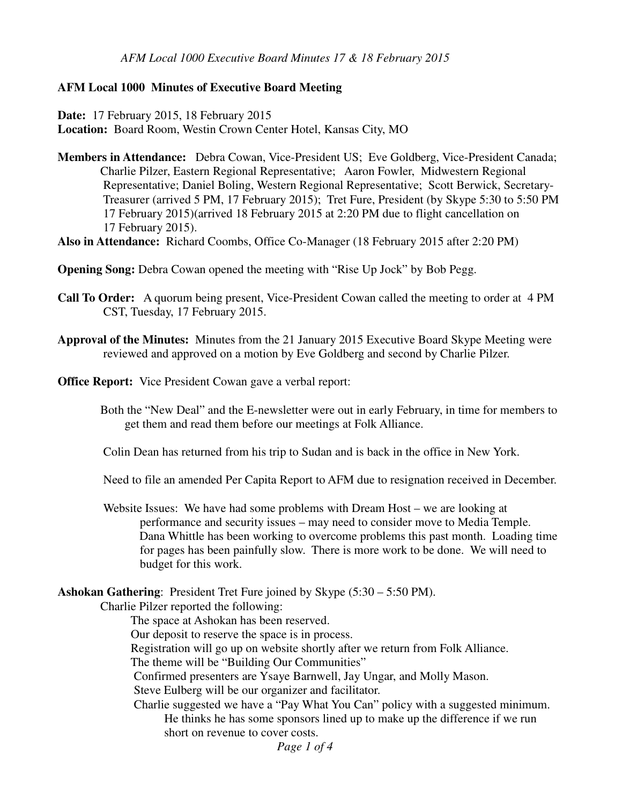### **AFM Local 1000 Minutes of Executive Board Meeting**

**Date:** 17 February 2015, 18 February 2015 **Location:** Board Room, Westin Crown Center Hotel, Kansas City, MO

**Members in Attendance:** Debra Cowan, Vice-President US; Eve Goldberg, Vice-President Canada; Charlie Pilzer, Eastern Regional Representative; Aaron Fowler, Midwestern Regional Representative; Daniel Boling, Western Regional Representative; Scott Berwick, Secretary- Treasurer (arrived 5 PM, 17 February 2015); Tret Fure, President (by Skype 5:30 to 5:50 PM 17 February 2015)(arrived 18 February 2015 at 2:20 PM due to flight cancellation on 17 February 2015).

**Also in Attendance:** Richard Coombs, Office Co-Manager (18 February 2015 after 2:20 PM)

**Opening Song:** Debra Cowan opened the meeting with "Rise Up Jock" by Bob Pegg.

- **Call To Order:** A quorum being present, Vice-President Cowan called the meeting to order at 4 PM CST, Tuesday, 17 February 2015.
- **Approval of the Minutes:** Minutes from the 21 January 2015 Executive Board Skype Meeting were reviewed and approved on a motion by Eve Goldberg and second by Charlie Pilzer.

**Office Report:** Vice President Cowan gave a verbal report:

 Both the "New Deal" and the E-newsletter were out in early February, in time for members to get them and read them before our meetings at Folk Alliance.

Colin Dean has returned from his trip to Sudan and is back in the office in New York.

Need to file an amended Per Capita Report to AFM due to resignation received in December.

 Website Issues: We have had some problems with Dream Host – we are looking at performance and security issues – may need to consider move to Media Temple. Dana Whittle has been working to overcome problems this past month. Loading time for pages has been painfully slow. There is more work to be done. We will need to budget for this work.

### **Ashokan Gathering**: President Tret Fure joined by Skype (5:30 – 5:50 PM).

Charlie Pilzer reported the following:

The space at Ashokan has been reserved.

Our deposit to reserve the space is in process.

Registration will go up on website shortly after we return from Folk Alliance.

The theme will be "Building Our Communities"

Confirmed presenters are Ysaye Barnwell, Jay Ungar, and Molly Mason.

Steve Eulberg will be our organizer and facilitator.

 Charlie suggested we have a "Pay What You Can" policy with a suggested minimum. He thinks he has some sponsors lined up to make up the difference if we run short on revenue to cover costs.

*Page 1 of 4*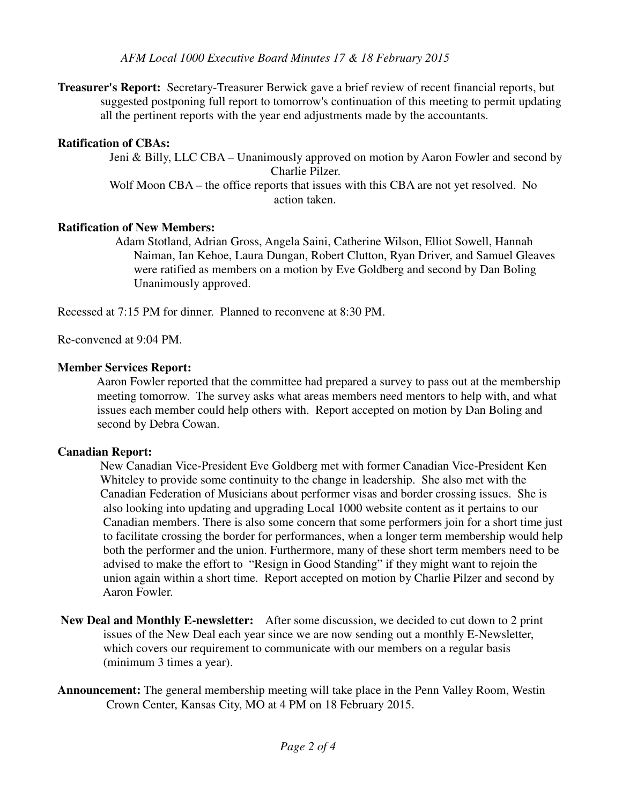*AFM Local 1000 Executive Board Minutes 17 & 18 February 2015*

**Treasurer's Report:** Secretary-Treasurer Berwick gave a brief review of recent financial reports, but suggested postponing full report to tomorrow's continuation of this meeting to permit updating all the pertinent reports with the year end adjustments made by the accountants.

# **Ratification of CBAs:**

 Jeni & Billy, LLC CBA – Unanimously approved on motion by Aaron Fowler and second by Charlie Pilzer.

Wolf Moon CBA – the office reports that issues with this CBA are not yet resolved. No action taken.

# **Ratification of New Members:**

 Adam Stotland, Adrian Gross, Angela Saini, Catherine Wilson, Elliot Sowell, Hannah Naiman, Ian Kehoe, Laura Dungan, Robert Clutton, Ryan Driver, and Samuel Gleaves were ratified as members on a motion by Eve Goldberg and second by Dan Boling Unanimously approved.

Recessed at 7:15 PM for dinner. Planned to reconvene at 8:30 PM.

Re-convened at 9:04 PM.

### **Member Services Report:**

 Aaron Fowler reported that the committee had prepared a survey to pass out at the membership meeting tomorrow. The survey asks what areas members need mentors to help with, and what issues each member could help others with. Report accepted on motion by Dan Boling and second by Debra Cowan.

### **Canadian Report:**

 New Canadian Vice-President Eve Goldberg met with former Canadian Vice-President Ken Whiteley to provide some continuity to the change in leadership. She also met with the Canadian Federation of Musicians about performer visas and border crossing issues. She is also looking into updating and upgrading Local 1000 website content as it pertains to our Canadian members. There is also some concern that some performers join for a short time just to facilitate crossing the border for performances, when a longer term membership would help both the performer and the union. Furthermore, many of these short term members need to be advised to make the effort to "Resign in Good Standing" if they might want to rejoin the union again within a short time. Report accepted on motion by Charlie Pilzer and second by Aaron Fowler.

- **New Deal and Monthly E-newsletter:** After some discussion, we decided to cut down to 2 print issues of the New Deal each year since we are now sending out a monthly E-Newsletter, which covers our requirement to communicate with our members on a regular basis (minimum 3 times a year).
- **Announcement:** The general membership meeting will take place in the Penn Valley Room, Westin Crown Center, Kansas City, MO at 4 PM on 18 February 2015.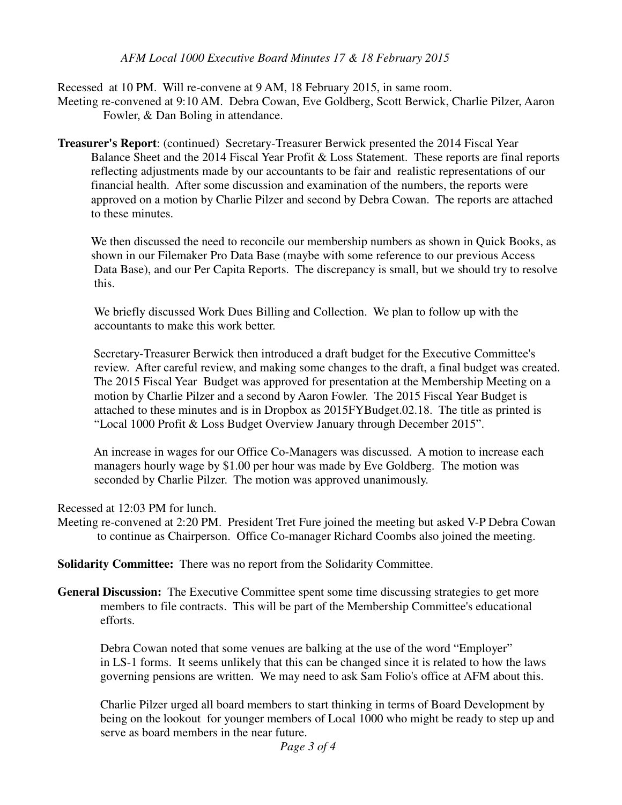### *AFM Local 1000 Executive Board Minutes 17 & 18 February 2015*

Recessed at 10 PM. Will re-convene at 9 AM, 18 February 2015, in same room. Meeting re-convened at 9:10 AM. Debra Cowan, Eve Goldberg, Scott Berwick, Charlie Pilzer, Aaron Fowler, & Dan Boling in attendance.

**Treasurer's Report**: (continued) Secretary-Treasurer Berwick presented the 2014 Fiscal Year Balance Sheet and the 2014 Fiscal Year Profit & Loss Statement. These reports are final reports reflecting adjustments made by our accountants to be fair and realistic representations of our financial health. After some discussion and examination of the numbers, the reports were approved on a motion by Charlie Pilzer and second by Debra Cowan. The reports are attached to these minutes.

 We then discussed the need to reconcile our membership numbers as shown in Quick Books, as shown in our Filemaker Pro Data Base (maybe with some reference to our previous Access Data Base), and our Per Capita Reports. The discrepancy is small, but we should try to resolve this.

 We briefly discussed Work Dues Billing and Collection. We plan to follow up with the accountants to make this work better.

Secretary-Treasurer Berwick then introduced a draft budget for the Executive Committee's review. After careful review, and making some changes to the draft, a final budget was created. The 2015 Fiscal Year Budget was approved for presentation at the Membership Meeting on a motion by Charlie Pilzer and a second by Aaron Fowler. The 2015 Fiscal Year Budget is attached to these minutes and is in Dropbox as 2015FYBudget.02.18. The title as printed is "Local 1000 Profit & Loss Budget Overview January through December 2015".

 An increase in wages for our Office Co-Managers was discussed. A motion to increase each managers hourly wage by \$1.00 per hour was made by Eve Goldberg. The motion was seconded by Charlie Pilzer. The motion was approved unanimously.

Recessed at 12:03 PM for lunch.

Meeting re-convened at 2:20 PM. President Tret Fure joined the meeting but asked V-P Debra Cowan to continue as Chairperson. Office Co-manager Richard Coombs also joined the meeting.

**Solidarity Committee:** There was no report from the Solidarity Committee.

**General Discussion:** The Executive Committee spent some time discussing strategies to get more members to file contracts. This will be part of the Membership Committee's educational efforts.

 Debra Cowan noted that some venues are balking at the use of the word "Employer" in LS-1 forms. It seems unlikely that this can be changed since it is related to how the laws governing pensions are written. We may need to ask Sam Folio's office at AFM about this.

 Charlie Pilzer urged all board members to start thinking in terms of Board Development by being on the lookout for younger members of Local 1000 who might be ready to step up and serve as board members in the near future.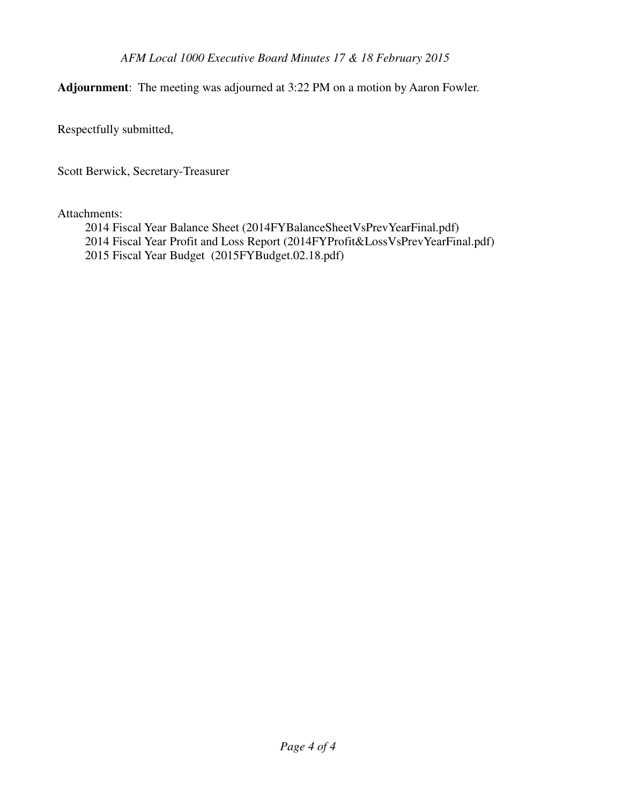**Adjournment**: The meeting was adjourned at 3:22 PM on a motion by Aaron Fowler.

Respectfully submitted,

Scott Berwick, Secretary-Treasurer

### Attachments:

- 2014 Fiscal Year Balance Sheet (2014FYBalanceSheetVsPrevYearFinal.pdf)
- 2014 Fiscal Year Profit and Loss Report (2014FYProfit&LossVsPrevYearFinal.pdf)
- 2015 Fiscal Year Budget (2015FYBudget.02.18.pdf)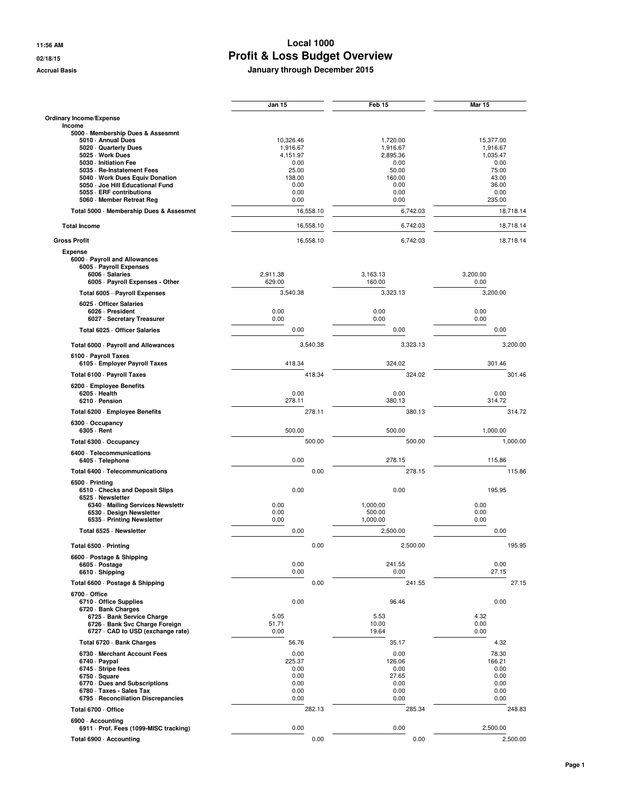**Accrual Basis January through December 2015**

 $\sim$ 

|                                                             | Jan 15           | Feb 15           | Mar 15           |
|-------------------------------------------------------------|------------------|------------------|------------------|
| Ordinary Income/Expense                                     |                  |                  |                  |
| Income<br>5000 · Membership Dues & Assesmnt                 |                  |                  |                  |
| 5010 - Annual Dues                                          | 10,326.46        | 1,720.00         | 15,377.00        |
| 5020 Quarterly Dues                                         | 1,916.67         | 1,916.67         | 1,916.67         |
| 5025 · Work Dues<br>5030 - Initiation Fee                   | 4,151.97<br>0.00 | 2,895.36<br>0.00 | 1,035.47<br>0.00 |
| 5035 · Re-Instatement Fees                                  | 25.00            | 50.00            | 75.00            |
| 5040 · Work Dues Equiv Donation                             | 138.00           | 160.00           | 43.00            |
| 5050 Joe Hill Educational Fund<br>5055 - ERF contributions  | 0.00<br>0.00     | 0.00<br>0.00     | 36.00<br>0.00    |
| 5060 Member Retreat Reg                                     | 0.00             | 0.00             | 235.00           |
| Total 5000 - Membership Dues & Assesmnt                     | 16,558.10        | 6,742.03         | 18,718.14        |
| <b>Total Income</b>                                         | 16,558.10        | 6.742.03         | 18,718.14        |
| <b>Gross Profit</b>                                         | 16,558.10        | 6.742.03         | 18,718.14        |
| <b>Expense</b>                                              |                  |                  |                  |
| 6000 · Payroll and Allowances                               |                  |                  |                  |
| 6005 - Payroll Expenses<br>6006 · Salaries                  | 2,911.38         | 3,163.13         | 3,200.00         |
| 6005 · Payroll Expenses - Other                             | 629.00           | 160.00           | 0.00             |
| Total 6005 - Payroll Expenses                               | 3,540.38         | 3,323.13         | 3,200.00         |
| 6025 Officer Salaries                                       |                  |                  |                  |
| 6026 - President                                            | 0.00             | 0.00             | 0.00             |
| 6027 · Secretary Treasurer                                  | 0.00             | 0.00             | 0.00             |
| Total 6025 - Officer Salaries                               | 0.00             | 0.00             | 0.00             |
| Total 6000 · Payroll and Allowances<br>6100 · Payroll Taxes | 3,540.38         | 3,323.13         | 3.200.00         |
| 6105 · Employer Payroll Taxes                               | 418.34           | 324.02           | 301.46           |
| Total 6100 · Payroll Taxes                                  | 418.34           | 324.02           | 301.46           |
| 6200 · Employee Benefits<br>6205 - Health<br>6210 · Pension | 0.00<br>278.11   | 0.00<br>380.13   | 0.00<br>314.72   |
| Total 6200 · Employee Benefits                              | 278.11           | 380.13           | 314.72           |
| 6300 Occupancy                                              | 500.00           | 500.00           | 1,000.00         |
| 6305 - Rent<br>Total 6300 · Occupancy                       | 500.00           | 500.00           | 1,000.00         |
| 6400 · Telecommunications                                   |                  |                  |                  |
| 6405 · Telephone                                            | 0.00             | 278.15           | 115.86           |
| Total 6400 - Telecommunications                             | 0.00             | 278.15           | 115.86           |
| 6500 · Printing<br>6510 Checks and Deposit Slips            | 0.00             | 0.00             | 195.95           |
| 6525 · Newsletter<br>6340 · Mailing Services Newslettr      | 0.00             | 1,000.00         | 0.00             |
| 6530 · Design Newsletter                                    | 0.00             | 500.00           | 0.00             |
| 6535 - Printing Newsletter                                  | 0.00             | 1,000.00         | 0.00             |
| Total 6525 · Newsletter                                     | 0.00             | 2,500.00         | 0.00             |
| Total 6500 · Printing                                       | 0.00             | 2,500.00         | 195.95           |
| 6600 · Postage & Shipping<br>6605 · Postage                 | 0.00             | 241.55           | 0.00             |
| 6610 · Shipping                                             | 0.00             | 0.00             | 27.15            |
| Total 6600 · Postage & Shipping                             | 0.00             | 241.55           | 27.15            |
| 6700 Office                                                 |                  |                  |                  |
| 6710 Office Supplies                                        | 0.00             | 96.46            | 0.00             |
| 6720 · Bank Charges<br>6725 · Bank Service Charge           | 5.05             | 5.53             | 4.32             |
| 6726 · Bank Svc Charge Foreign                              | 51.71            | 10.00            | 0.00             |
| 6727 CAD to USD (exchange rate)                             | 0.00             | 19.64            | 0.00             |
| Total 6720 · Bank Charges                                   | 56.76            | 35.17            | 4.32             |
| 6730 - Merchant Account Fees                                | 0.00             | 0.00             | 78.30            |
| 6740 · Paypal<br>6745 - Stripe fees                         | 225.37           | 126.06           | 166.21           |
| 6750 · Square                                               | 0.00<br>0.00     | 0.00<br>27.65    | 0.00<br>0.00     |
| 6770 Dues and Subscriptions                                 | 0.00             | 0.00             | 0.00             |
| 6780 · Taxes - Sales Tax                                    | 0.00             | 0.00             | 0.00             |
| 6795 - Reconciliation Discrepancies                         | 0.00             | 0.00             | 0.00             |
| Total 6700 · Office                                         | 282.13           | 285.34           | 248.83           |
| 6900 Accounting                                             |                  |                  |                  |
| 6911 - Prof. Fees (1099-MISC tracking)                      | 0.00             | 0.00             | 2,500.00         |
| Total 6900 - Accounting                                     | 0.00             | 0.00             | 2,500.00         |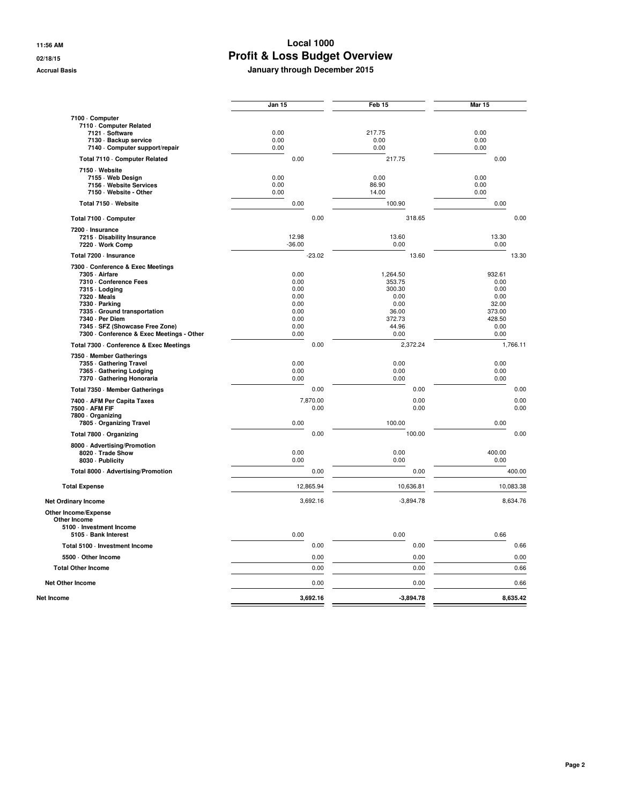|                                                                                          | Jan 15               | Feb 15                 | Mar 15               |
|------------------------------------------------------------------------------------------|----------------------|------------------------|----------------------|
| 7100 · Computer<br>7110 Computer Related<br>7121 · Software                              | 0.00                 | 217.75                 | 0.00                 |
| 7130 · Backup service                                                                    | 0.00                 | 0.00                   | 0.00                 |
| 7140 - Computer support/repair                                                           | 0.00                 | 0.00                   | 0.00                 |
| Total 7110 - Computer Related                                                            | 0.00                 | 217.75                 | 0.00                 |
| 7150 · Website<br>7155 - Web Design<br>7156 - Website Services<br>7150 · Website - Other | 0.00<br>0.00<br>0.00 | 0.00<br>86.90<br>14.00 | 0.00<br>0.00<br>0.00 |
| Total 7150 · Website                                                                     | 0.00                 | 100.90                 | 0.00                 |
| Total 7100 · Computer                                                                    | 0.00                 | 318.65                 | 0.00                 |
| 7200 · Insurance                                                                         |                      |                        |                      |
| 7215 Disability Insurance<br>7220 · Work Comp                                            | 12.98<br>$-36.00$    | 13.60<br>0.00          | 13.30<br>0.00        |
| Total 7200 · Insurance                                                                   | $-23.02$             | 13.60                  | 13.30                |
| 7300 Conference & Exec Meetings                                                          |                      |                        |                      |
| 7305 - Airfare                                                                           | 0.00                 | 1,264.50               | 932.61               |
| 7310 - Conference Fees<br>7315 - Lodging                                                 | 0.00<br>0.00         | 353.75<br>300.30       | 0.00<br>0.00         |
| 7320 - Meals                                                                             | 0.00                 | 0.00                   | 0.00                 |
| 7330 · Parking                                                                           | 0.00                 | 0.00                   | 32.00                |
| 7335 Ground transportation<br>7340 - Per Diem                                            | 0.00<br>0.00         | 36.00<br>372.73        | 373.00<br>428.50     |
| 7345 · SFZ (Showcase Free Zone)                                                          | 0.00                 | 44.96                  | 0.00                 |
| 7300 - Conference & Exec Meetings - Other                                                | 0.00                 | 0.00                   | 0.00                 |
| Total 7300 - Conference & Exec Meetings                                                  | 0.00                 | 2,372.24               | 1,766.11             |
| 7350 Member Gatherings                                                                   |                      |                        |                      |
| 7355 Gathering Travel                                                                    | 0.00                 | 0.00                   | 0.00                 |
| 7365 Gathering Lodging<br>7370 - Gathering Honoraria                                     | 0.00<br>0.00         | 0.00<br>0.00           | 0.00<br>0.00         |
| Total 7350 - Member Gatherings                                                           | 0.00                 | 0.00                   | 0.00                 |
| 7400 - AFM Per Capita Taxes                                                              | 7,870.00             | 0.00                   | 0.00                 |
| 7500 - AFM FIF                                                                           | 0.00                 | 0.00                   | 0.00                 |
| 7800 - Organizing                                                                        |                      |                        |                      |
| 7805 - Organizing Travel                                                                 | 0.00                 | 100.00                 | 0.00                 |
| Total 7800 · Organizing                                                                  | 0.00                 | 100.00                 | 0.00                 |
| 8000 - Advertising/Promotion<br>8020 · Trade Show<br>8030 - Publicity                    | 0.00<br>0.00         | 0.00<br>0.00           | 400.00<br>0.00       |
| Total 8000 · Advertising/Promotion                                                       | 0.00                 | 0.00                   | 400.00               |
| <b>Total Expense</b>                                                                     | 12,865.94            | 10,636.81              | 10,083.38            |
| <b>Net Ordinary Income</b>                                                               | 3,692.16             | $-3,894.78$            | 8,634.76             |
| Other Income/Expense<br>Other Income<br>5100 - Investment Income                         |                      |                        |                      |
| 5105 · Bank Interest                                                                     | 0.00                 | 0.00                   | 0.66                 |
| Total 5100 · Investment Income                                                           | 0.00                 | 0.00                   | 0.66                 |
| 5500 Other Income                                                                        | 0.00                 | 0.00                   | 0.00                 |
| <b>Total Other Income</b>                                                                | 0.00                 | 0.00                   | 0.66                 |
| <b>Net Other Income</b>                                                                  | 0.00                 | 0.00                   | 0.66                 |
| Net Income                                                                               | 3,692.16             | $-3,894.78$            | 8,635.42             |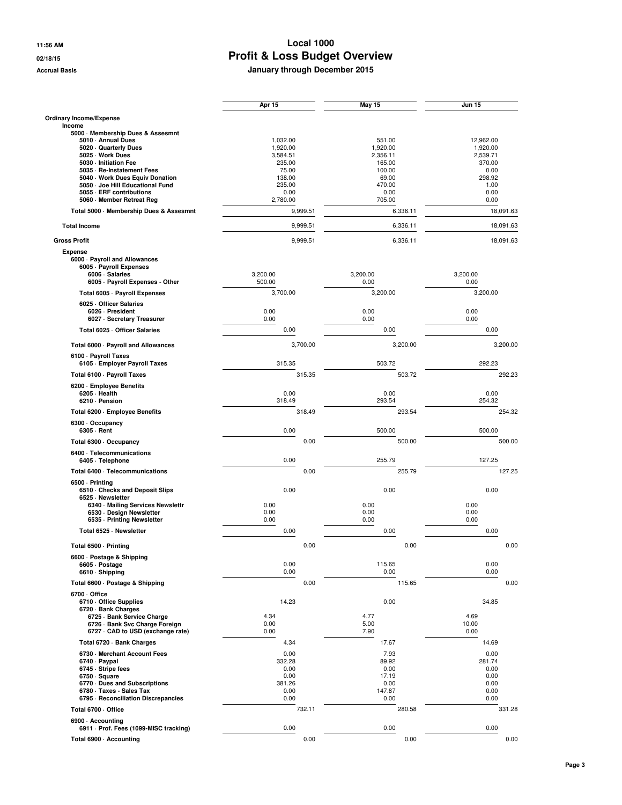|                                                             | Apr 15             | <b>May 15</b>    | <b>Jun 15</b>    |
|-------------------------------------------------------------|--------------------|------------------|------------------|
| Ordinary Income/Expense                                     |                    |                  |                  |
| Income<br>5000 · Membership Dues & Assesmnt                 |                    |                  |                  |
| 5010 - Annual Dues                                          | 1,032.00           | 551.00           | 12,962.00        |
| 5020 Quarterly Dues                                         | 1,920.00           | 1,920.00         | 1,920.00         |
| 5025 · Work Dues                                            | 3,584.51           | 2,356.11         | 2,539.71         |
| 5030 - Initiation Fee                                       | 235.00             | 165.00           | 370.00           |
| 5035 · Re-Instatement Fees<br>5040 Work Dues Equiv Donation | 75.00<br>138.00    | 100.00<br>69.00  | 0.00<br>298.92   |
| 5050 - Joe Hill Educational Fund                            | 235.00             | 470.00           | 1.00             |
| 5055 - ERF contributions                                    | 0.00               | 0.00             | 0.00             |
| 5060 Member Retreat Reg                                     | 2,780.00           | 705.00           | 0.00             |
| Total 5000 - Membership Dues & Assesmnt                     | 9.999.51           | 6,336.11         | 18,091.63        |
| <b>Total Income</b>                                         | 9,999.51           | 6,336.11         | 18,091.63        |
| <b>Gross Profit</b>                                         | 9,999.51           | 6,336.11         | 18,091.63        |
| <b>Expense</b>                                              |                    |                  |                  |
| 6000 · Payroll and Allowances                               |                    |                  |                  |
| 6005 - Payroll Expenses                                     |                    |                  |                  |
| 6006 · Salaries<br>6005 - Payroll Expenses - Other          | 3,200.00<br>500.00 | 3,200.00<br>0.00 | 3,200.00<br>0.00 |
| Total 6005 - Payroll Expenses                               | 3,700.00           | 3,200.00         | 3,200.00         |
| 6025 Officer Salaries                                       |                    |                  |                  |
| 6026 - President                                            | 0.00               | 0.00             | 0.00             |
| 6027 · Secretary Treasurer                                  | 0.00               | 0.00             | 0.00             |
| Total 6025 - Officer Salaries                               | 0.00               | 0.00             | 0.00             |
| Total 6000 - Payroll and Allowances                         | 3,700.00           | 3,200.00         | 3,200.00         |
| 6100 · Payroll Taxes<br>6105 · Employer Payroll Taxes       | 315.35             | 503.72           | 292.23           |
| Total 6100 · Payroll Taxes                                  | 315.35             | 503.72           | 292.23           |
| 6200 · Employee Benefits                                    |                    |                  |                  |
| 6205 - Health<br>6210 · Pension                             | 0.00<br>318.49     | 0.00<br>293.54   | 0.00<br>254.32   |
|                                                             | 318.49             | 293.54           | 254.32           |
| Total 6200 · Employee Benefits                              |                    |                  |                  |
| 6300 Occupancy<br>6305 - Rent                               | 0.00               | 500.00           | 500.00           |
| Total 6300 · Occupancy                                      | 0.00               | 500.00           | 500.00           |
| 6400 · Telecommunications                                   |                    |                  |                  |
| 6405 · Telephone                                            | 0.00               | 255.79           | 127.25           |
| Total 6400 - Telecommunications<br>6500 · Printing          | 0.00               | 255.79           | 127.25           |
| 6510 Checks and Deposit Slips                               | 0.00               | 0.00             | 0.00             |
| 6525 · Newsletter                                           |                    |                  |                  |
| 6340 · Mailing Services Newslettr                           | 0.00               | 0.00             | 0.00             |
| 6530 · Design Newsletter<br>6535 - Printing Newsletter      | 0.00<br>0.00       | 0.00<br>0.00     | 0.00<br>0.00     |
| Total 6525 · Newsletter                                     | 0.00               | 0.00             | 0.00             |
|                                                             |                    |                  |                  |
| Total 6500 - Printing                                       | 0.00               | 0.00             | 0.00             |
| 6600 · Postage & Shipping<br>6605 · Postage                 | 0.00               | 115.65           | 0.00             |
| 6610 · Shipping                                             | 0.00               | 0.00             | 0.00             |
| Total 6600 · Postage & Shipping                             | 0.00               | 115.65           | 0.00             |
| 6700 Office                                                 |                    |                  |                  |
| 6710 Office Supplies                                        | 14.23              | 0.00             | 34.85            |
| 6720 · Bank Charges<br>6725 · Bank Service Charge           | 4.34               | 4.77             | 4.69             |
| 6726 · Bank Svc Charge Foreign                              | 0.00               | 5.00             | 10.00            |
| 6727 · CAD to USD (exchange rate)                           | 0.00               | 7.90             | 0.00             |
| Total 6720 · Bank Charges                                   | 4.34               | 17.67            | 14.69            |
| 6730 Merchant Account Fees                                  | 0.00               | 7.93             | 0.00             |
| 6740 · Paypal                                               | 332.28             | 89.92            | 281.74           |
| 6745 · Stripe fees                                          | 0.00               | 0.00             | 0.00             |
| 6750 · Square                                               | 0.00               | 17.19            | 0.00             |
| 6770 Dues and Subscriptions<br>6780 · Taxes - Sales Tax     | 381.26             | 0.00             | 0.00             |
| 6795 - Reconciliation Discrepancies                         | 0.00<br>0.00       | 147.87<br>0.00   | 0.00<br>0.00     |
| Total 6700 - Office                                         | 732.11             | 280.58           | 331.28           |
| 6900 - Accounting                                           |                    |                  |                  |
| 6911 Prof. Fees (1099-MISC tracking)                        | 0.00               | 0.00             | 0.00             |
| Total 6900 Accounting                                       | 0.00               | 0.00             | 0.00             |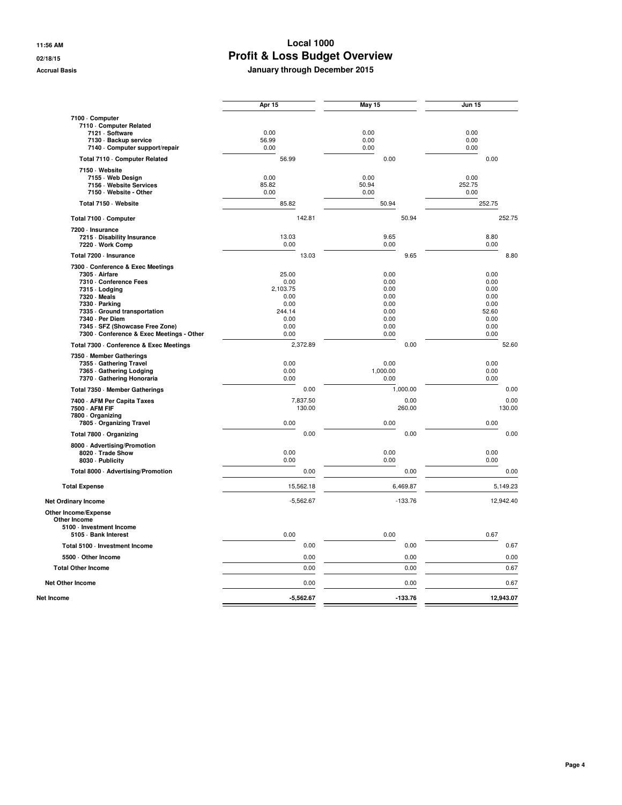|                                                                                                                                                                                                                                                                  | Apr 15                                                                      |                    | May 15                                                               |       | <b>Jun 15</b>                                                         |                |
|------------------------------------------------------------------------------------------------------------------------------------------------------------------------------------------------------------------------------------------------------------------|-----------------------------------------------------------------------------|--------------------|----------------------------------------------------------------------|-------|-----------------------------------------------------------------------|----------------|
| 7100 - Computer<br>7110 Computer Related<br>7121 · Software<br>7130 · Backup service                                                                                                                                                                             | 0.00<br>56.99                                                               |                    | 0.00<br>0.00                                                         |       | 0.00<br>0.00                                                          |                |
| 7140 - Computer support/repair                                                                                                                                                                                                                                   | 0.00<br>56.99                                                               |                    | 0.00<br>0.00                                                         |       | 0.00<br>0.00                                                          |                |
| Total 7110 Computer Related<br>7150 · Website<br>7155 · Web Design<br>7156 - Website Services<br>7150 · Website - Other                                                                                                                                          | 0.00<br>85.82<br>0.00                                                       |                    | 0.00<br>50.94<br>0.00                                                |       | 0.00<br>252.75<br>0.00                                                |                |
| Total 7150 · Website                                                                                                                                                                                                                                             | 85.82                                                                       |                    | 50.94                                                                |       | 252.75                                                                |                |
| Total 7100 · Computer                                                                                                                                                                                                                                            |                                                                             | 142.81             |                                                                      | 50.94 |                                                                       | 252.75         |
| 7200 - Insurance<br>7215 Disability Insurance<br>7220 · Work Comp                                                                                                                                                                                                | 13.03<br>0.00                                                               |                    | 9.65<br>0.00                                                         |       | 8.80<br>0.00                                                          |                |
| Total 7200 - Insurance                                                                                                                                                                                                                                           |                                                                             | 13.03              |                                                                      | 9.65  |                                                                       | 8.80           |
| 7300 - Conference & Exec Meetings<br>7305 - Airfare<br>7310 Conference Fees<br>7315 - Lodging<br>7320 - Meals<br>7330 - Parking<br>7335 Ground transportation<br>7340 - Per Diem<br>7345 · SFZ (Showcase Free Zone)<br>7300 - Conference & Exec Meetings - Other | 25.00<br>0.00<br>2,103.75<br>0.00<br>0.00<br>244.14<br>0.00<br>0.00<br>0.00 |                    | 0.00<br>0.00<br>0.00<br>0.00<br>0.00<br>0.00<br>0.00<br>0.00<br>0.00 |       | 0.00<br>0.00<br>0.00<br>0.00<br>0.00<br>52.60<br>0.00<br>0.00<br>0.00 |                |
| Total 7300 - Conference & Exec Meetings                                                                                                                                                                                                                          |                                                                             | 2,372.89           |                                                                      | 0.00  |                                                                       | 52.60          |
| 7350 Member Gatherings<br>7355 Gathering Travel<br>7365 Gathering Lodging<br>7370 - Gathering Honoraria                                                                                                                                                          | 0.00<br>0.00<br>0.00                                                        |                    | 0.00<br>1,000.00<br>0.00                                             |       | 0.00<br>0.00<br>0.00                                                  |                |
| Total 7350 - Member Gatherings                                                                                                                                                                                                                                   |                                                                             | 0.00               | 1,000.00                                                             |       |                                                                       | 0.00           |
| 7400 - AFM Per Capita Taxes<br>7500 - AFM FIF<br>7800 - Organizing<br>7805 Organizing Travel                                                                                                                                                                     | 0.00                                                                        | 7,837.50<br>130.00 | 260.00<br>0.00                                                       | 0.00  | 0.00                                                                  | 0.00<br>130.00 |
| Total 7800 · Organizing                                                                                                                                                                                                                                          |                                                                             | 0.00               |                                                                      | 0.00  |                                                                       | 0.00           |
| 8000 · Advertising/Promotion<br>8020 · Trade Show<br>8030 - Publicity                                                                                                                                                                                            | 0.00<br>0.00                                                                |                    | 0.00<br>0.00                                                         |       | 0.00<br>0.00                                                          |                |
| Total 8000 · Advertising/Promotion                                                                                                                                                                                                                               |                                                                             | 0.00               |                                                                      | 0.00  |                                                                       | 0.00           |
| <b>Total Expense</b>                                                                                                                                                                                                                                             |                                                                             | 15,562.18          | 6,469.87                                                             |       |                                                                       | 5,149.23       |
| <b>Net Ordinary Income</b>                                                                                                                                                                                                                                       |                                                                             | $-5,562.67$        | $-133.76$                                                            |       |                                                                       | 12,942.40      |
| Other Income/Expense<br><b>Other Income</b><br>5100 - Investment Income<br>5105 · Bank Interest                                                                                                                                                                  | 0.00                                                                        |                    | 0.00                                                                 |       | 0.67                                                                  |                |
| Total 5100 - Investment Income                                                                                                                                                                                                                                   |                                                                             | 0.00               |                                                                      | 0.00  |                                                                       | 0.67           |
| 5500 Other Income                                                                                                                                                                                                                                                |                                                                             | 0.00               |                                                                      | 0.00  |                                                                       | 0.00           |
| <b>Total Other Income</b>                                                                                                                                                                                                                                        |                                                                             | 0.00               |                                                                      | 0.00  |                                                                       | 0.67           |
| <b>Net Other Income</b>                                                                                                                                                                                                                                          |                                                                             | 0.00               |                                                                      | 0.00  |                                                                       | 0.67           |
| Net Income                                                                                                                                                                                                                                                       |                                                                             | $-5,562.67$        | $-133.76$                                                            |       |                                                                       | 12,943.07      |
|                                                                                                                                                                                                                                                                  |                                                                             |                    |                                                                      |       |                                                                       |                |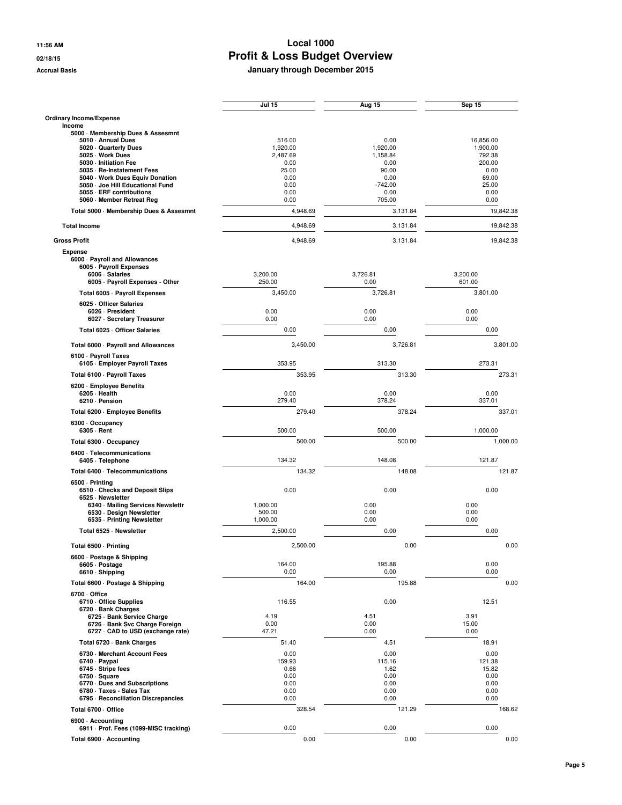|                                                                   | Jul 15             | Aug 15         | <b>Sep 15</b>  |
|-------------------------------------------------------------------|--------------------|----------------|----------------|
| Ordinary Income/Expense                                           |                    |                |                |
| Income<br>5000 Membership Dues & Assesmnt                         |                    |                |                |
| 5010 - Annual Dues                                                | 516.00             | 0.00           | 16,856.00      |
| 5020 Quarterly Dues                                               | 1,920.00           | 1,920.00       | 1,900.00       |
| 5025 · Work Dues                                                  | 2,487.69           | 1,158.84       | 792.38         |
| 5030 - Initiation Fee<br>5035 - Re-Instatement Fees               | 0.00<br>25.00      | 0.00<br>90.00  | 200.00<br>0.00 |
| 5040 Work Dues Equiv Donation                                     | 0.00               | 0.00           | 69.00          |
| 5050 Joe Hill Educational Fund                                    | 0.00               | $-742.00$      | 25.00          |
| 5055 - ERF contributions                                          | 0.00               | 0.00           | 0.00           |
| 5060 Member Retreat Reg                                           | 0.00               | 705.00         | 0.00           |
| Total 5000 · Membership Dues & Assesmnt                           | 4,948.69           | 3,131.84       | 19,842.38      |
| <b>Total Income</b>                                               | 4,948.69           | 3,131.84       | 19,842.38      |
| <b>Gross Profit</b>                                               | 4,948.69           | 3,131.84       | 19,842.38      |
| <b>Expense</b>                                                    |                    |                |                |
| 6000 · Payroll and Allowances                                     |                    |                |                |
| 6005 - Payroll Expenses                                           | 3,200.00           | 3,726.81       | 3,200.00       |
| 6006 · Salaries<br>6005 - Payroll Expenses - Other                | 250.00             | 0.00           | 601.00         |
| Total 6005 · Payroll Expenses                                     | 3,450.00           | 3,726.81       | 3,801.00       |
| 6025 Officer Salaries                                             |                    |                |                |
| 6026 - President                                                  | 0.00               | 0.00           | 0.00           |
| 6027 · Secretary Treasurer                                        | 0.00               | 0.00           | 0.00           |
| Total 6025 - Officer Salaries                                     | 0.00               | 0.00           | 0.00           |
| Total 6000 · Payroll and Allowances                               | 3.450.00           | 3,726.81       | 3,801.00       |
| 6100 · Payroll Taxes<br>6105 · Employer Payroll Taxes             | 353.95             | 313.30         | 273.31         |
| Total 6100 · Payroll Taxes                                        | 353.95             | 313.30         | 273.31         |
| 6200 - Employee Benefits                                          |                    |                |                |
| 6205 · Health<br>6210 · Pension                                   | 0.00<br>279.40     | 0.00<br>378.24 | 0.00<br>337.01 |
|                                                                   | 279.40             | 378.24         | 337.01         |
| Total 6200 · Employee Benefits                                    |                    |                |                |
| 6300 Occupancy<br>6305 - Rent                                     | 500.00             | 500.00         | 1,000.00       |
|                                                                   |                    |                |                |
| Total 6300 · Occupancy                                            | 500.00             | 500.00         | 1,000.00       |
| 6400 · Telecommunications<br>6405 · Telephone                     | 134.32             | 148.08         | 121.87         |
| Total 6400 · Telecommunications                                   | 134.32             | 148.08         | 121.87         |
| 6500 - Printing                                                   |                    |                |                |
| 6510 Checks and Deposit Slips                                     | 0.00               | 0.00           | 0.00           |
| 6525 · Newsletter                                                 |                    |                |                |
| 6340 · Mailing Services Newslettr<br>6530 · Design Newsletter     | 1,000.00<br>500.00 | 0.00<br>0.00   | 0.00<br>0.00   |
| 6535 - Printing Newsletter                                        | 1,000.00           | 0.00           | 0.00           |
| Total 6525 · Newsletter                                           | 2,500.00           | 0.00           | 0.00           |
| Total 6500 · Printing                                             | 2,500.00           | 0.00           | 0.00           |
| 6600 · Postage & Shipping                                         |                    |                |                |
| 6605 · Postage                                                    | 164.00             | 195.88         | 0.00           |
| 6610 · Shipping                                                   | 0.00               | 0.00           | 0.00           |
| Total 6600 · Postage & Shipping                                   | 164.00             | 195.88         | 0.00           |
| 6700 Office                                                       |                    |                |                |
| 6710 - Office Supplies                                            | 116.55             | 0.00           | 12.51          |
| 6720 · Bank Charges                                               |                    |                |                |
| 6725 - Bank Service Charge                                        | 4.19               | 4.51           | 3.91           |
| 6726 · Bank Svc Charge Foreign<br>6727 CAD to USD (exchange rate) | 0.00<br>47.21      | 0.00<br>0.00   | 15.00<br>0.00  |
| Total 6720 · Bank Charges                                         | 51.40              | 4.51           | 18.91          |
| 6730 Merchant Account Fees                                        | 0.00               | 0.00           | 0.00           |
| 6740 · Paypal                                                     | 159.93             | 115.16         | 121.38         |
| 6745 - Stripe fees                                                | 0.66               | 1.62           | 15.82          |
| 6750 · Square                                                     | 0.00               | 0.00           | 0.00           |
| 6770 Dues and Subscriptions                                       | 0.00               | 0.00           | 0.00           |
| 6780 · Taxes - Sales Tax<br>6795 - Reconciliation Discrepancies   | 0.00<br>0.00       | 0.00<br>0.00   | 0.00<br>0.00   |
| Total 6700 · Office                                               | 328.54             | 121.29         | 168.62         |
|                                                                   |                    |                |                |
| 6900 - Accounting<br>6911 · Prof. Fees (1099-MISC tracking)       | 0.00               | 0.00           | 0.00           |
| Total 6900 Accounting                                             | 0.00               | 0.00           | 0.00           |
|                                                                   |                    |                |                |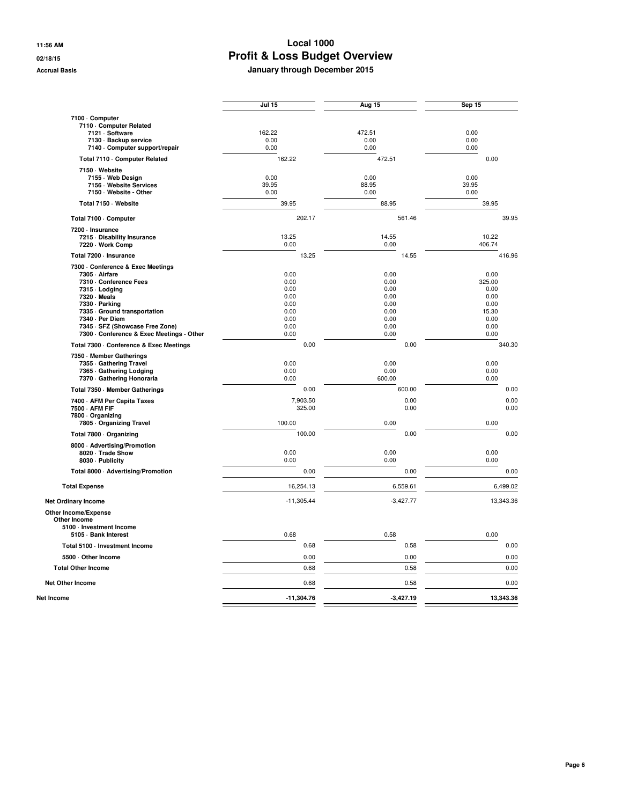|                                                                                                                                                                                                                                                                  | <b>Jul 15</b>                                                        | Aug 15                                                               | Sep 15                                                                  |
|------------------------------------------------------------------------------------------------------------------------------------------------------------------------------------------------------------------------------------------------------------------|----------------------------------------------------------------------|----------------------------------------------------------------------|-------------------------------------------------------------------------|
| 7100 - Computer<br>7110 Computer Related<br>7121 · Software<br>7130 · Backup service<br>7140 - Computer support/repair                                                                                                                                           | 162.22<br>0.00<br>0.00                                               | 472.51<br>0.00<br>0.00                                               | 0.00<br>0.00<br>0.00                                                    |
| Total 7110 Computer Related                                                                                                                                                                                                                                      | 162.22                                                               | 472.51                                                               | 0.00                                                                    |
| 7150 · Website<br>7155 · Web Design<br>7156 - Website Services<br>7150 · Website - Other                                                                                                                                                                         | 0.00<br>39.95<br>0.00                                                | 0.00<br>88.95<br>0.00                                                | 0.00<br>39.95<br>0.00                                                   |
| Total 7150 · Website                                                                                                                                                                                                                                             | 39.95                                                                | 88.95                                                                | 39.95                                                                   |
| Total 7100 · Computer                                                                                                                                                                                                                                            | 202.17                                                               | 561.46                                                               | 39.95                                                                   |
| 7200 - Insurance<br>7215 Disability Insurance<br>7220 · Work Comp                                                                                                                                                                                                | 13.25<br>0.00                                                        | 14.55<br>0.00                                                        | 10.22<br>406.74                                                         |
| Total 7200 - Insurance                                                                                                                                                                                                                                           | 13.25                                                                | 14.55                                                                | 416.96                                                                  |
| 7300 - Conference & Exec Meetings<br>7305 - Airfare<br>7310 Conference Fees<br>7315 - Lodging<br>7320 - Meals<br>7330 - Parking<br>7335 Ground transportation<br>7340 - Per Diem<br>7345 · SFZ (Showcase Free Zone)<br>7300 - Conference & Exec Meetings - Other | 0.00<br>0.00<br>0.00<br>0.00<br>0.00<br>0.00<br>0.00<br>0.00<br>0.00 | 0.00<br>0.00<br>0.00<br>0.00<br>0.00<br>0.00<br>0.00<br>0.00<br>0.00 | 0.00<br>325.00<br>0.00<br>0.00<br>0.00<br>15.30<br>0.00<br>0.00<br>0.00 |
| Total 7300 - Conference & Exec Meetings                                                                                                                                                                                                                          | 0.00                                                                 | 0.00                                                                 | 340.30                                                                  |
| 7350 Member Gatherings<br>7355 Gathering Travel<br>7365 Gathering Lodging<br>7370 - Gathering Honoraria                                                                                                                                                          | 0.00<br>0.00<br>0.00                                                 | 0.00<br>0.00<br>600.00                                               | 0.00<br>0.00<br>0.00                                                    |
| Total 7350 - Member Gatherings                                                                                                                                                                                                                                   | 0.00                                                                 | 600.00                                                               | 0.00                                                                    |
| 7400 - AFM Per Capita Taxes<br>7500 - AFM FIF<br>7800 - Organizing<br>7805 Organizing Travel                                                                                                                                                                     | 7,903.50<br>325.00<br>100.00                                         | 0.00<br>0.00<br>0.00                                                 | 0.00<br>0.00<br>0.00                                                    |
| Total 7800 · Organizing                                                                                                                                                                                                                                          | 100.00                                                               | 0.00                                                                 | 0.00                                                                    |
| 8000 · Advertising/Promotion<br>8020 · Trade Show<br>8030 - Publicity                                                                                                                                                                                            | 0.00<br>0.00                                                         | 0.00<br>0.00                                                         | 0.00<br>0.00                                                            |
| Total 8000 · Advertising/Promotion                                                                                                                                                                                                                               | 0.00                                                                 | 0.00                                                                 | 0.00                                                                    |
| <b>Total Expense</b>                                                                                                                                                                                                                                             | 16,254.13                                                            | 6,559.61                                                             | 6,499.02                                                                |
| <b>Net Ordinary Income</b>                                                                                                                                                                                                                                       | $-11,305.44$                                                         | $-3,427.77$                                                          | 13,343.36                                                               |
| Other Income/Expense<br><b>Other Income</b><br>5100 - Investment Income<br>5105 · Bank Interest                                                                                                                                                                  | 0.68                                                                 | 0.58                                                                 | 0.00                                                                    |
| Total 5100 - Investment Income                                                                                                                                                                                                                                   | 0.68                                                                 | 0.58                                                                 | 0.00                                                                    |
| 5500 Other Income                                                                                                                                                                                                                                                | 0.00                                                                 | 0.00                                                                 | 0.00                                                                    |
| <b>Total Other Income</b>                                                                                                                                                                                                                                        | 0.68                                                                 | 0.58                                                                 | 0.00                                                                    |
| <b>Net Other Income</b>                                                                                                                                                                                                                                          | 0.68                                                                 | 0.58                                                                 | 0.00                                                                    |
| Net Income                                                                                                                                                                                                                                                       | $-11,304.76$                                                         | $-3,427.19$                                                          | 13,343.36                                                               |
|                                                                                                                                                                                                                                                                  |                                                                      |                                                                      |                                                                         |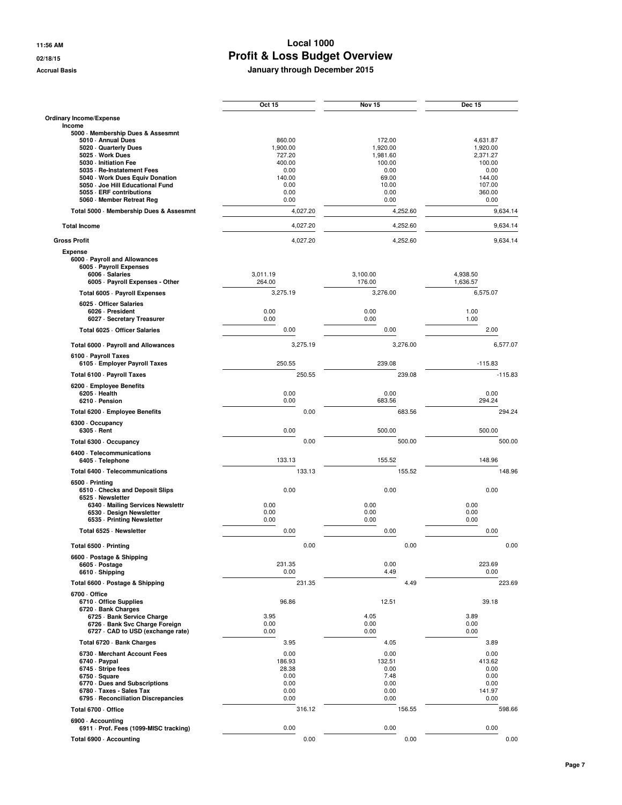|                                                               | Oct 15             | <b>Nov 15</b>      | <b>Dec 15</b>      |
|---------------------------------------------------------------|--------------------|--------------------|--------------------|
| Ordinary Income/Expense                                       |                    |                    |                    |
| Income<br>5000 · Membership Dues & Assesmnt                   |                    |                    |                    |
| 5010 - Annual Dues                                            | 860.00             | 172.00             | 4,631.87           |
| 5020 Quarterly Dues                                           | 1,900.00           | 1,920.00           | 1,920.00           |
| 5025 · Work Dues<br>5030 - Initiation Fee                     | 727.20<br>400.00   | 1,981.60<br>100.00 | 2,371.27<br>100.00 |
| 5035 · Re-Instatement Fees                                    | 0.00               | 0.00               | 0.00               |
| 5040 Work Dues Equiv Donation                                 | 140.00             | 69.00              | 144.00             |
| 5050 - Joe Hill Educational Fund                              | 0.00               | 10.00              | 107.00             |
| 5055 - ERF contributions<br>5060 Member Retreat Reg           | 0.00<br>0.00       | 0.00<br>0.00       | 360.00<br>0.00     |
| Total 5000 · Membership Dues & Assesmnt                       | 4,027.20           | 4,252.60           | 9,634.14           |
| <b>Total Income</b>                                           | 4,027.20           | 4,252.60           | 9,634.14           |
| <b>Gross Profit</b>                                           | 4,027.20           | 4,252.60           | 9,634.14           |
| <b>Expense</b>                                                |                    |                    |                    |
| 6000 · Payroll and Allowances                                 |                    |                    |                    |
| 6005 - Payroll Expenses                                       |                    |                    |                    |
| 6006 · Salaries                                               | 3,011.19<br>264.00 | 3,100.00<br>176.00 | 4,938.50           |
| 6005 · Payroll Expenses - Other                               |                    |                    | 1,636.57           |
| Total 6005 - Payroll Expenses<br>6025 Officer Salaries        | 3,275.19           | 3,276.00           | 6,575.07           |
| 6026 - President                                              | 0.00               | 0.00               | 1.00               |
| 6027 · Secretary Treasurer                                    | 0.00               | 0.00               | 1.00               |
| Total 6025 - Officer Salaries                                 | 0.00               | 0.00               | 2.00               |
| Total 6000 - Payroll and Allowances                           | 3.275.19           | 3,276.00           | 6,577.07           |
| 6100 · Payroll Taxes                                          |                    |                    |                    |
| 6105 - Employer Payroll Taxes                                 | 250.55             | 239.08             | $-115.83$          |
| Total 6100 · Payroll Taxes                                    | 250.55             | 239.08             | $-115.83$          |
| 6200 - Employee Benefits                                      |                    |                    |                    |
| 6205 - Health<br>6210 · Pension                               | 0.00<br>0.00       | 0.00<br>683.56     | 0.00<br>294.24     |
|                                                               | 0.00               | 683.56             | 294.24             |
| Total 6200 · Employee Benefits                                |                    |                    |                    |
| 6300 Occupancy<br>6305 - Rent                                 | 0.00               | 500.00             | 500.00             |
|                                                               | 0.00               | 500.00             | 500.00             |
| Total 6300 · Occupancy                                        |                    |                    |                    |
| 6400 · Telecommunications<br>6405 · Telephone                 | 133.13             | 155.52             | 148.96             |
| Total 6400 - Telecommunications                               | 133.13             | 155.52             | 148.96             |
| 6500 - Printing                                               |                    |                    |                    |
| 6510 Checks and Deposit Slips                                 | 0.00               | 0.00               | 0.00               |
| 6525 · Newsletter                                             |                    |                    |                    |
| 6340 · Mailing Services Newslettr<br>6530 · Design Newsletter | 0.00<br>0.00       | 0.00<br>0.00       | 0.00<br>0.00       |
| 6535 - Printing Newsletter                                    | 0.00               | 0.00               | 0.00               |
| Total 6525 · Newsletter                                       | 0.00               | 0.00               | 0.00               |
| Total 6500 · Printing                                         | 0.00               | 0.00               | 0.00               |
| 6600 · Postage & Shipping                                     |                    |                    |                    |
| 6605 · Postage                                                | 231.35             | 0.00               | 223.69             |
| 6610 · Shipping                                               | 0.00               | 4.49               | 0.00               |
| Total 6600 · Postage & Shipping                               | 231.35             | 4.49               | 223.69             |
| 6700 Office                                                   |                    |                    |                    |
| 6710 Office Supplies                                          | 96.86              | 12.51              | 39.18              |
| 6720 · Bank Charges<br>6725 · Bank Service Charge             | 3.95               | 4.05               | 3.89               |
| 6726 · Bank Svc Charge Foreign                                | 0.00               | 0.00               | 0.00               |
| 6727 · CAD to USD (exchange rate)                             | 0.00               | 0.00               | 0.00               |
| Total 6720 · Bank Charges                                     | 3.95               | 4.05               | 3.89               |
| 6730 Merchant Account Fees                                    | 0.00               | 0.00               | 0.00               |
| 6740 · Paypal                                                 | 186.93             | 132.51             | 413.62             |
| 6745 · Stripe fees<br>6750 · Square                           | 28.38<br>0.00      | 0.00<br>7.48       | 0.00<br>0.00       |
| 6770 Dues and Subscriptions                                   | 0.00               | 0.00               | 0.00               |
| 6780 · Taxes - Sales Tax                                      | 0.00               | 0.00               | 141.97             |
| 6795 - Reconciliation Discrepancies                           | 0.00               | 0.00               | 0.00               |
| Total 6700 - Office                                           | 316.12             | 156.55             | 598.66             |
| 6900 - Accounting                                             |                    |                    |                    |
| 6911 Prof. Fees (1099-MISC tracking)                          | 0.00               | 0.00               | 0.00               |
| Total 6900 · Accounting                                       | 0.00               | 0.00               | 0.00               |
|                                                               |                    |                    |                    |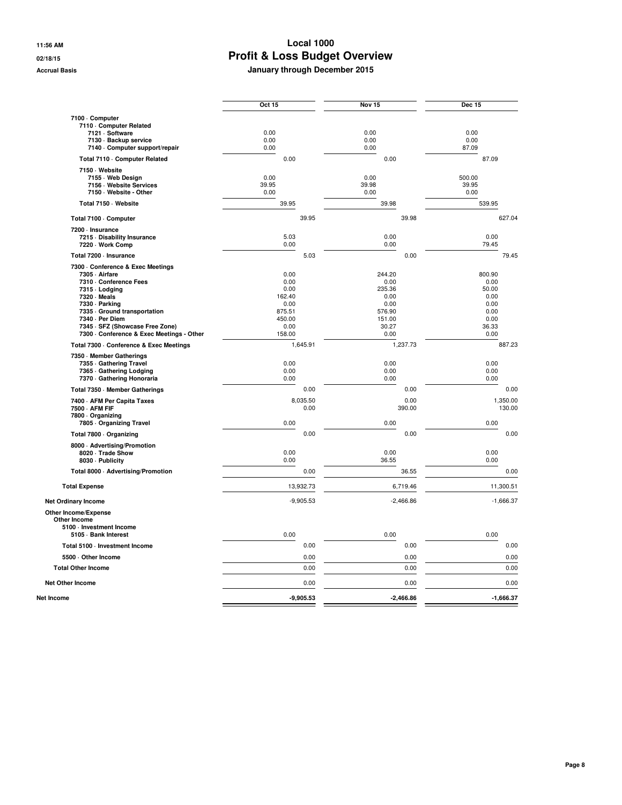|                                                                                                                                                                                                                                                                    | Oct 15                                                                       |                  | Nov <sub>15</sub>                                                             |                | Dec 15                                                                   |                    |
|--------------------------------------------------------------------------------------------------------------------------------------------------------------------------------------------------------------------------------------------------------------------|------------------------------------------------------------------------------|------------------|-------------------------------------------------------------------------------|----------------|--------------------------------------------------------------------------|--------------------|
| 7100 · Computer<br>7110 Computer Related<br>7121 · Software<br>7130 · Backup service<br>7140 - Computer support/repair                                                                                                                                             | 0.00<br>0.00<br>0.00                                                         |                  | 0.00<br>0.00<br>0.00                                                          |                | 0.00<br>0.00<br>87.09                                                    |                    |
| Total 7110 - Computer Related                                                                                                                                                                                                                                      | 0.00                                                                         |                  | 0.00                                                                          |                | 87.09                                                                    |                    |
| 7150 Website<br>7155 · Web Design<br>7156 - Website Services<br>7150 - Website - Other                                                                                                                                                                             | 0.00<br>39.95<br>0.00                                                        |                  | 0.00<br>39.98<br>0.00                                                         |                | 500.00<br>39.95<br>0.00                                                  |                    |
| Total 7150 · Website                                                                                                                                                                                                                                               | 39.95                                                                        |                  | 39.98                                                                         |                | 539.95                                                                   |                    |
| Total 7100 · Computer                                                                                                                                                                                                                                              |                                                                              | 39.95            |                                                                               | 39.98          |                                                                          | 627.04             |
| 7200 - Insurance<br>7215 - Disability Insurance<br>7220 · Work Comp                                                                                                                                                                                                | 5.03<br>0.00                                                                 |                  | 0.00<br>0.00                                                                  |                | 0.00<br>79.45                                                            |                    |
| Total 7200 - Insurance                                                                                                                                                                                                                                             |                                                                              | 5.03             |                                                                               | 0.00           |                                                                          | 79.45              |
| 7300 - Conference & Exec Meetings<br>7305 - Airfare<br>7310 - Conference Fees<br>7315 - Lodging<br>7320 · Meals<br>7330 - Parking<br>7335 Ground transportation<br>7340 · Per Diem<br>7345 - SFZ (Showcase Free Zone)<br>7300 - Conference & Exec Meetings - Other | 0.00<br>0.00<br>0.00<br>162.40<br>0.00<br>875.51<br>450.00<br>0.00<br>158.00 |                  | 244.20<br>0.00<br>235.36<br>0.00<br>0.00<br>576.90<br>151.00<br>30.27<br>0.00 |                | 800.90<br>0.00<br>50.00<br>0.00<br>0.00<br>0.00<br>0.00<br>36.33<br>0.00 |                    |
| Total 7300 - Conference & Exec Meetings                                                                                                                                                                                                                            |                                                                              | 1,645.91         |                                                                               | 1,237.73       |                                                                          | 887.23             |
| 7350 Member Gatherings<br>7355 Gathering Travel<br>7365 Gathering Lodging<br>7370 Gathering Honoraria                                                                                                                                                              | 0.00<br>0.00<br>0.00                                                         |                  | 0.00<br>0.00<br>0.00                                                          |                | 0.00<br>0.00<br>0.00                                                     |                    |
| Total 7350 - Member Gatherings                                                                                                                                                                                                                                     |                                                                              | 0.00             |                                                                               | 0.00           |                                                                          | 0.00               |
| 7400 - AFM Per Capita Taxes<br>7500 - AFM FIF<br>7800 Organizing<br>7805 Organizing Travel                                                                                                                                                                         | 0.00                                                                         | 8,035.50<br>0.00 | 0.00                                                                          | 0.00<br>390.00 | 0.00                                                                     | 1,350.00<br>130.00 |
| Total 7800 · Organizing                                                                                                                                                                                                                                            |                                                                              | 0.00             |                                                                               | 0.00           |                                                                          | 0.00               |
| 8000 - Advertising/Promotion<br>8020 · Trade Show<br>8030 - Publicity                                                                                                                                                                                              | 0.00<br>0.00                                                                 |                  | 0.00<br>36.55                                                                 |                | 0.00<br>0.00                                                             |                    |
| Total 8000 · Advertising/Promotion                                                                                                                                                                                                                                 |                                                                              | 0.00             |                                                                               | 36.55          |                                                                          | 0.00               |
| <b>Total Expense</b>                                                                                                                                                                                                                                               |                                                                              | 13,932.73        |                                                                               | 6,719.46       |                                                                          | 11,300.51          |
| <b>Net Ordinary Income</b>                                                                                                                                                                                                                                         |                                                                              | $-9,905.53$      |                                                                               | $-2,466.86$    |                                                                          | $-1,666.37$        |
| Other Income/Expense<br><b>Other Income</b><br>5100 - Investment Income<br>5105 · Bank Interest                                                                                                                                                                    | 0.00                                                                         |                  | 0.00                                                                          |                | 0.00                                                                     |                    |
| Total 5100 · Investment Income                                                                                                                                                                                                                                     |                                                                              | 0.00             |                                                                               | 0.00           |                                                                          | 0.00               |
| 5500 Other Income                                                                                                                                                                                                                                                  |                                                                              | 0.00             |                                                                               | 0.00           |                                                                          | 0.00               |
| <b>Total Other Income</b>                                                                                                                                                                                                                                          |                                                                              | 0.00             |                                                                               | 0.00           |                                                                          | 0.00               |
| <b>Net Other Income</b>                                                                                                                                                                                                                                            |                                                                              | 0.00             |                                                                               | 0.00           |                                                                          | 0.00               |
| Net Income                                                                                                                                                                                                                                                         |                                                                              | $-9,905.53$      |                                                                               | $-2,466.86$    |                                                                          | $-1,666.37$        |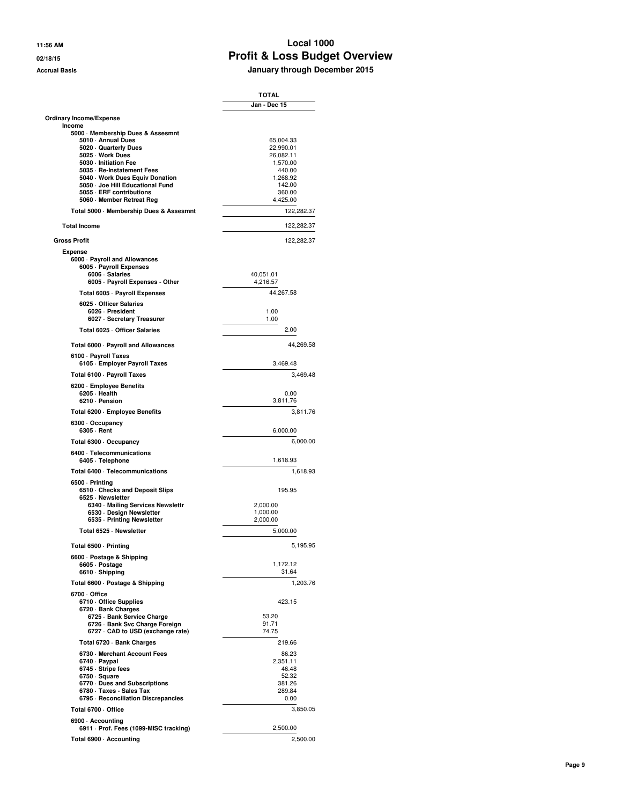#### **11:56 AM Local 1000 02/18/15 Profit & Loss Budget Overview Accrual Basis January through December 2015**

|                                                                 | <b>TOTAL</b>           |
|-----------------------------------------------------------------|------------------------|
|                                                                 | Jan - Dec 15           |
| Ordinary Income/Expense<br>Income                               |                        |
| 5000 Membership Dues & Assesmnt                                 |                        |
| 5010 Annual Dues                                                | 65,004.33              |
| 5020 Quarterly Dues<br>5025 · Work Dues                         | 22,990.01<br>26,082.11 |
| 5030 - Initiation Fee                                           | 1.570.00               |
| 5035 · Re-Instatement Fees                                      | 440.00                 |
| 5040 · Work Dues Equiv Donation                                 | 1,268.92               |
| 5050 - Joe Hill Educational Fund                                | 142.00                 |
| 5055 - ERF contributions                                        | 360.00                 |
| 5060 Member Retreat Reg                                         | 4,425.00               |
| Total 5000 · Membership Dues & Assesmnt                         | 122,282.37             |
| <b>Total Income</b>                                             | 122,282.37             |
| <b>Gross Profit</b><br><b>Expense</b>                           | 122,282.37             |
| 6000 · Payroll and Allowances<br>6005 · Payroll Expenses        |                        |
| 6006 · Salaries                                                 | 40,051.01              |
| 6005 · Payroll Expenses - Other                                 | 4,216.57               |
| Total 6005 - Payroll Expenses                                   | 44,267.58              |
| 6025 Officer Salaries                                           |                        |
| 6026 - President<br>6027 · Secretary Treasurer                  | 1.00<br>1.00           |
| Total 6025 · Officer Salaries                                   | 2.00                   |
| Total 6000 · Payroll and Allowances                             | 44,269.58              |
| 6100 · Payroll Taxes<br>6105 · Employer Payroll Taxes           | 3.469.48               |
| Total 6100 · Payroll Taxes                                      | 3,469.48               |
| 6200 · Employee Benefits<br>6205 Health<br>6210 - Pension       | 0.00<br>3,811.76       |
| Total 6200 · Employee Benefits                                  | 3,811.76               |
| 6300 · Occupancy<br>6305 - Rent                                 | 6,000.00               |
| Total 6300 · Occupancy                                          | 6,000.00               |
| 6400 · Telecommunications<br>6405 · Telephone                   | 1,618.93               |
| Total 6400 · Telecommunications                                 | 1,618.93               |
| 6500 · Printing<br>6510 Checks and Deposit Slips                | 195.95                 |
| 6525 · Newsletter                                               |                        |
| 6340 · Mailing Services Newslettr                               | 2,000.00               |
| 6530 · Design Newsletter                                        | 1,000.00               |
| 6535 - Printing Newsletter                                      | 2,000.00               |
| Total 6525 · Newsletter                                         | 5,000.00               |
| Total 6500 · Printing                                           | 5,195.95               |
| 6600 · Postage & Shipping                                       |                        |
| 6605 · Postage<br>6610 · Shipping                               | 1,172.12<br>31.64      |
| Total 6600 - Postage & Shipping                                 | 1,203.76               |
| 6700 Office<br>6710 Office Supplies                             | 423.15                 |
| 6720 · Bank Charges                                             |                        |
| 6725 · Bank Service Charge                                      | 53.20                  |
| 6726 · Bank Svc Charge Foreign                                  | 91.71<br>74.75         |
| 6727 CAD to USD (exchange rate)                                 |                        |
| Total 6720 - Bank Charges                                       | 219.66                 |
| 6730 Merchant Account Fees                                      | 86.23                  |
| 6740 · Paypal                                                   | 2,351.11               |
| 6745 · Stripe fees                                              | 46.48                  |
| 6750 · Square                                                   | 52.32                  |
| 6770 Dues and Subscriptions                                     | 381.26                 |
| 6780 · Taxes - Sales Tax<br>6795 - Reconciliation Discrepancies | 289.84<br>0.00         |
|                                                                 |                        |
| Total 6700 · Office<br>6900 - Accounting                        | 3,850.05               |
| 6911 · Prof. Fees (1099-MISC tracking)                          | 2,500.00               |
| Total 6900 · Accounting                                         | 2,500.00               |
|                                                                 |                        |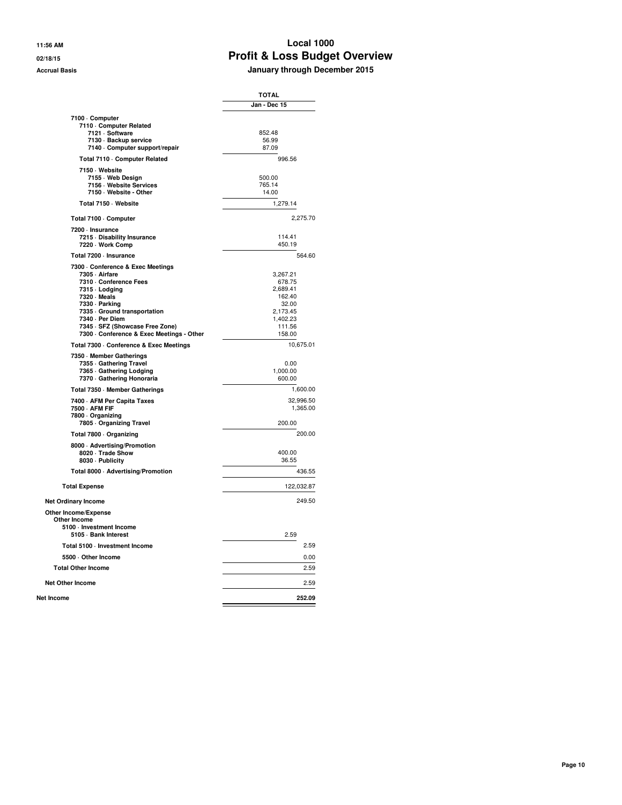#### **11:56 AM Local 1000 02/18/15 Profit & Loss Budget Overview Accrual Basis January through December 2015**

|                                               | TOTAL                |
|-----------------------------------------------|----------------------|
|                                               | Jan - Dec 15         |
| 7100 Computer                                 |                      |
| 7110 Computer Related                         |                      |
| 7121 · Software                               | 852.48               |
| 7130 · Backup service                         | 56.99                |
| 7140 Computer support/repair                  | 87.09                |
| Total 7110 Computer Related                   | 996.56               |
| 7150 · Website                                |                      |
| 7155 - Web Design                             | 500.00               |
| 7156 - Website Services                       | 765.14               |
| 7150 · Website - Other                        | 14.00                |
| Total 7150 · Website                          | 1,279.14             |
| Total 7100 · Computer                         | 2,275.70             |
| 7200 · Insurance                              |                      |
| 7215 Disability Insurance                     | 114.41               |
| 7220 - Work Comp                              | 450.19               |
| Total 7200 · Insurance                        | 564.60               |
| 7300 Conference & Exec Meetings               |                      |
| 7305 - Airfare                                | 3,267.21             |
| 7310 - Conference Fees                        | 678.75               |
| 7315 - Lodging                                | 2,689.41             |
| 7320 · Meals                                  | 162.40               |
| 7330 - Parking                                | 32.00                |
| 7335 Ground transportation<br>7340 · Per Diem | 2,173.45<br>1,402.23 |
| 7345 · SFZ (Showcase Free Zone)               | 111.56               |
| 7300 - Conference & Exec Meetings - Other     | 158.00               |
| Total 7300 - Conference & Exec Meetings       | 10,675.01            |
| 7350 Member Gatherings                        |                      |
| 7355 Gathering Travel                         | 0.00                 |
| 7365 Gathering Lodging                        | 1,000.00             |
| 7370 Gathering Honoraria                      | 600.00               |
| Total 7350 - Member Gatherings                | 1,600.00             |
| 7400 - AFM Per Capita Taxes                   | 32,996.50            |
| 7500 - AFM FIF                                | 1,365.00             |
| 7800 Organizing<br>7805 Organizing Travel     | 200.00               |
|                                               | 200.00               |
| Total 7800 · Organizing                       |                      |
| 8000 - Advertising/Promotion                  |                      |
| 8020 · Trade Show<br>8030 - Publicity         | 400.00<br>36.55      |
| Total 8000 · Advertising/Promotion            | 436.55               |
| <b>Total Expense</b>                          | 122,032.87           |
|                                               |                      |
| <b>Net Ordinary Income</b>                    | 249.50               |
| Other Income/Expense<br>Other Income          |                      |
| 5100 - Investment Income                      |                      |
| 5105 · Bank Interest                          | 2.59                 |
| Total 5100 - Investment Income                | 2.59                 |
| 5500 Other Income                             | 0.00                 |
| <b>Total Other Income</b>                     | 2.59                 |
| <b>Net Other Income</b>                       | 2.59                 |
| Net Income                                    | 252.09               |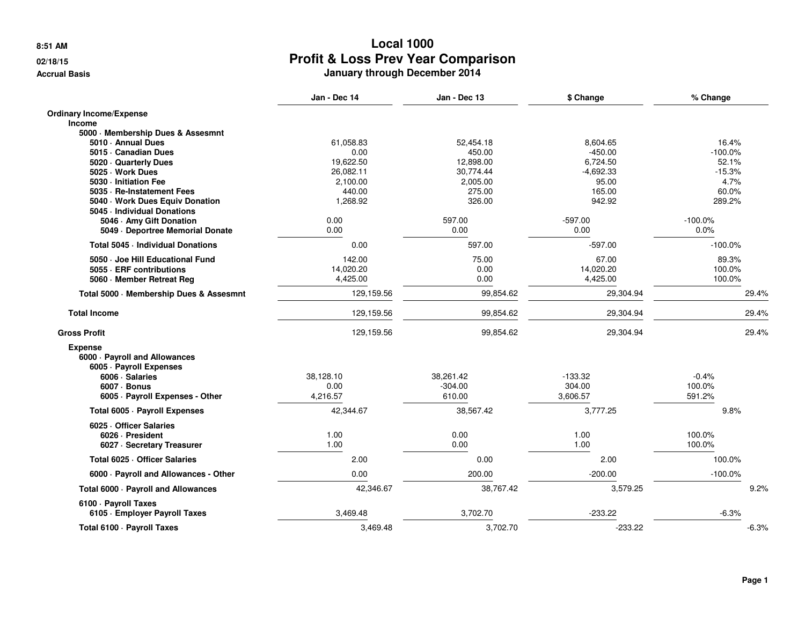#### **02/18/15**

**Accrual Basis**

|                                                                                                                                                  | Jan - Dec 14                  | Jan - Dec 13                     | \$ Change                       | % Change                    |
|--------------------------------------------------------------------------------------------------------------------------------------------------|-------------------------------|----------------------------------|---------------------------------|-----------------------------|
| <b>Ordinary Income/Expense</b><br><b>Income</b>                                                                                                  |                               |                                  |                                 |                             |
| 5000 Membership Dues & Assesmnt                                                                                                                  |                               |                                  |                                 |                             |
| 5010 · Annual Dues                                                                                                                               | 61,058.83                     | 52,454.18                        | 8,604.65                        | 16.4%                       |
| 5015 · Canadian Dues                                                                                                                             | 0.00                          | 450.00                           | $-450.00$                       | $-100.0\%$                  |
| 5020 Quarterly Dues                                                                                                                              | 19,622.50                     | 12,898.00                        | 6,724.50                        | 52.1%                       |
| 5025 · Work Dues                                                                                                                                 | 26,082.11                     | 30,774.44                        | $-4,692.33$                     | $-15.3%$                    |
| 5030 - Initiation Fee                                                                                                                            | 2,100.00                      | 2,005.00                         | 95.00                           | 4.7%                        |
| 5035 · Re-Instatement Fees                                                                                                                       | 440.00                        | 275.00                           | 165.00                          | 60.0%                       |
| 5040 Work Dues Equiv Donation                                                                                                                    | 1,268.92                      | 326.00                           | 942.92                          | 289.2%                      |
| 5045 - Individual Donations                                                                                                                      |                               |                                  |                                 |                             |
| 5046 Amy Gift Donation                                                                                                                           | 0.00                          | 597.00                           | $-597.00$                       | $-100.0%$                   |
| 5049 Deportree Memorial Donate                                                                                                                   | 0.00                          | 0.00                             | 0.00                            | 0.0%                        |
| Total 5045 - Individual Donations                                                                                                                | 0.00                          | 597.00                           | $-597.00$                       | $-100.0%$                   |
| 5050 · Joe Hill Educational Fund                                                                                                                 | 142.00                        | 75.00                            | 67.00                           | 89.3%                       |
| 5055 - ERF contributions                                                                                                                         | 14,020.20                     | 0.00                             | 14,020.20                       | 100.0%                      |
| 5060 · Member Retreat Reg                                                                                                                        | 4,425.00                      | 0.00                             | 4,425.00                        | 100.0%                      |
| Total 5000 · Membership Dues & Assesmnt                                                                                                          | 129,159.56                    | 99,854.62                        | 29,304.94                       | 29.4%                       |
| <b>Total Income</b>                                                                                                                              | 129,159.56                    | 99,854.62                        | 29,304.94                       | 29.4%                       |
| <b>Gross Profit</b>                                                                                                                              | 129,159.56                    | 99,854.62                        | 29,304.94                       | 29.4%                       |
| <b>Expense</b><br>6000 · Payroll and Allowances<br>6005 · Payroll Expenses<br>6006 · Salaries<br>6007 - Bonus<br>6005 · Payroll Expenses - Other | 38.128.10<br>0.00<br>4,216.57 | 38.261.42<br>$-304.00$<br>610.00 | $-133.32$<br>304.00<br>3,606.57 | $-0.4%$<br>100.0%<br>591.2% |
| Total 6005 · Payroll Expenses                                                                                                                    | 42,344.67                     | 38,567.42                        | 3,777.25                        | 9.8%                        |
| 6025 Officer Salaries<br>6026 · President<br>6027 · Secretary Treasurer                                                                          | 1.00<br>1.00                  | 0.00<br>0.00                     | 1.00<br>1.00                    | 100.0%<br>100.0%            |
| Total 6025 · Officer Salaries                                                                                                                    | 2.00                          | 0.00                             | 2.00                            | 100.0%                      |
| 6000 · Payroll and Allowances - Other                                                                                                            | 0.00                          | 200.00                           | $-200.00$                       | $-100.0\%$                  |
| Total 6000 · Payroll and Allowances                                                                                                              | 42,346.67                     | 38,767.42                        | 3,579.25                        | 9.2%                        |
| 6100 · Payroll Taxes<br>6105 · Employer Payroll Taxes                                                                                            | 3,469.48                      | 3,702.70                         | $-233.22$                       | $-6.3%$                     |
| Total 6100 · Payroll Taxes                                                                                                                       | 3,469.48                      | 3,702.70                         | $-233.22$                       | $-6.3%$                     |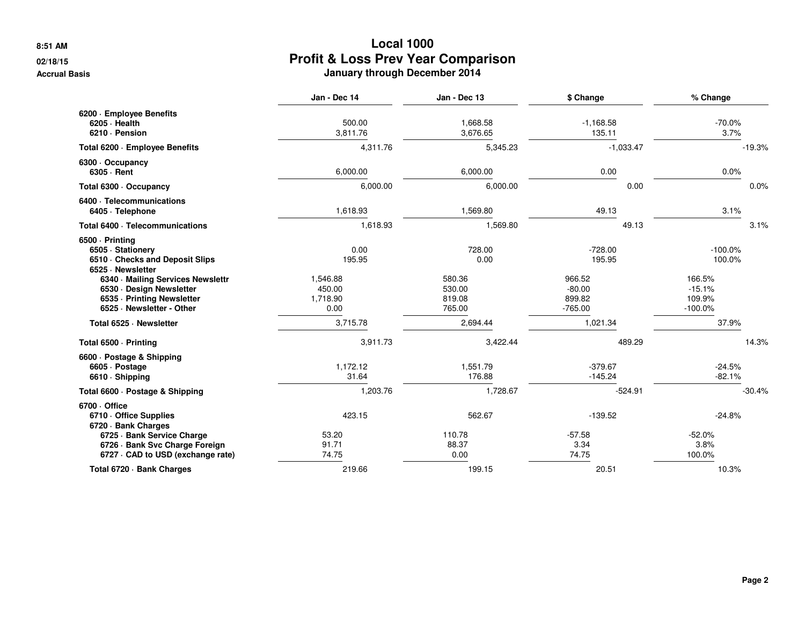#### **02/18/15**

**Accrual Basis**

|                                                                                                                                                                                           | Jan - Dec 14                                     | Jan - Dec 13                                 | \$ Change                                           | % Change                                             |
|-------------------------------------------------------------------------------------------------------------------------------------------------------------------------------------------|--------------------------------------------------|----------------------------------------------|-----------------------------------------------------|------------------------------------------------------|
| 6200 · Employee Benefits<br>$6205 \cdot$ Health<br>6210 · Pension                                                                                                                         | 500.00<br>3,811.76                               | 1,668.58<br>3,676.65                         | $-1,168.58$<br>135.11                               | $-70.0%$<br>3.7%                                     |
| Total 6200 - Employee Benefits                                                                                                                                                            | 4,311.76                                         | 5,345.23                                     | $-1,033.47$                                         | $-19.3%$                                             |
| 6300 Occupancy<br>6305 · Rent                                                                                                                                                             | 6,000.00                                         | 6,000.00                                     | 0.00                                                | 0.0%                                                 |
| Total 6300 · Occupancy                                                                                                                                                                    | 6,000.00                                         | 6,000.00                                     | 0.00                                                | 0.0%                                                 |
| 6400 · Telecommunications<br>6405 · Telephone                                                                                                                                             | 1,618.93                                         | 1,569.80                                     | 49.13                                               | 3.1%                                                 |
| Total 6400 · Telecommunications                                                                                                                                                           | 1,618.93                                         | 1,569.80                                     | 49.13                                               | 3.1%                                                 |
| 6500 · Printing<br>6505 · Stationery<br>6510 Checks and Deposit Slips<br>6525 · Newsletter<br>6340 · Mailing Services Newslettr<br>6530 · Design Newsletter<br>6535 - Printing Newsletter | 0.00<br>195.95<br>1,546.88<br>450.00<br>1,718.90 | 728.00<br>0.00<br>580.36<br>530.00<br>819.08 | $-728.00$<br>195.95<br>966.52<br>$-80.00$<br>899.82 | $-100.0\%$<br>100.0%<br>166.5%<br>$-15.1%$<br>109.9% |
| 6525 · Newsletter - Other                                                                                                                                                                 | 0.00                                             | 765.00                                       | $-765.00$                                           | $-100.0\%$                                           |
| Total 6525 · Newsletter                                                                                                                                                                   | 3,715.78                                         | 2,694.44                                     | 1,021.34                                            | 37.9%                                                |
| Total 6500 · Printing                                                                                                                                                                     | 3,911.73                                         | 3,422.44                                     | 489.29                                              | 14.3%                                                |
| 6600 · Postage & Shipping<br>6605 · Postage<br>6610 · Shipping                                                                                                                            | 1,172.12<br>31.64                                | 1,551.79<br>176.88                           | $-379.67$<br>$-145.24$                              | $-24.5%$<br>$-82.1%$                                 |
| Total 6600 · Postage & Shipping                                                                                                                                                           | 1,203.76                                         | 1,728.67                                     | $-524.91$                                           | $-30.4%$                                             |
| 6700 Office<br>6710 Office Supplies<br>6720 · Bank Charges                                                                                                                                | 423.15                                           | 562.67                                       | $-139.52$                                           | $-24.8%$                                             |
| 6725 · Bank Service Charge<br>6726 · Bank Svc Charge Foreign<br>6727 · CAD to USD (exchange rate)                                                                                         | 53.20<br>91.71<br>74.75                          | 110.78<br>88.37<br>0.00                      | $-57.58$<br>3.34<br>74.75                           | $-52.0%$<br>3.8%<br>100.0%                           |
| Total 6720 · Bank Charges                                                                                                                                                                 | 219.66                                           | 199.15                                       | 20.51                                               | 10.3%                                                |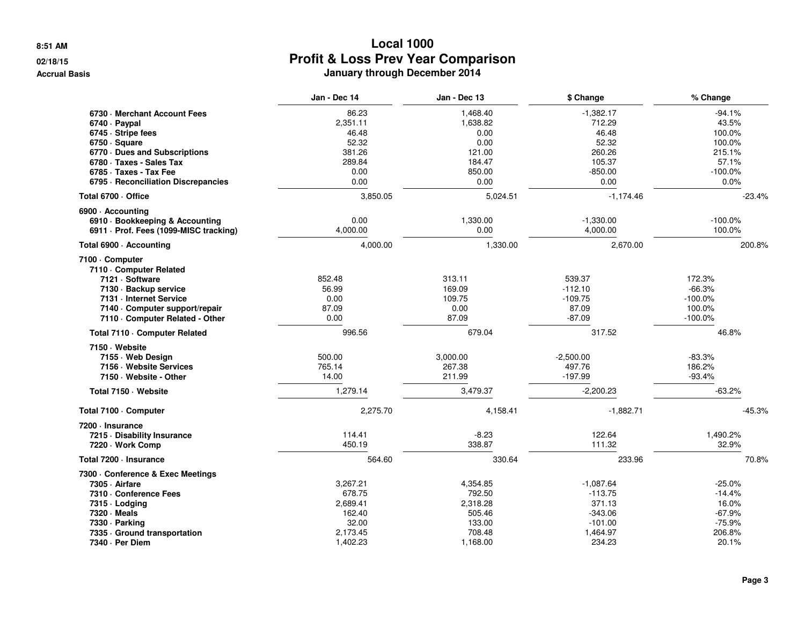#### **02/18/15**

**Accrual Basis**

|                                          | Jan - Dec 14 | Jan - Dec 13 | \$ Change   | % Change   |
|------------------------------------------|--------------|--------------|-------------|------------|
| 6730 Merchant Account Fees               | 86.23        | 1,468.40     | $-1,382.17$ | $-94.1%$   |
| 6740 · Paypal                            | 2,351.11     | 1,638.82     | 712.29      | 43.5%      |
| 6745 · Stripe fees                       | 46.48        | 0.00         | 46.48       | 100.0%     |
| 6750 · Square                            | 52.32        | 0.00         | 52.32       | 100.0%     |
| 6770 Dues and Subscriptions              | 381.26       | 121.00       | 260.26      | 215.1%     |
| 6780 · Taxes - Sales Tax                 | 289.84       | 184.47       | 105.37      | 57.1%      |
| 6785 · Taxes - Tax Fee                   | 0.00         | 850.00       | $-850.00$   | $-100.0%$  |
| 6795 · Reconciliation Discrepancies      | 0.00         | 0.00         | 0.00        | 0.0%       |
| Total 6700 · Office                      | 3,850.05     | 5,024.51     | $-1,174.46$ | $-23.4%$   |
| 6900 · Accountina                        |              |              |             |            |
| 6910 · Bookkeeping & Accounting          | 0.00         | 1,330.00     | $-1.330.00$ | $-100.0\%$ |
| 6911 - Prof. Fees (1099-MISC tracking)   | 4,000.00     | 0.00         | 4,000.00    | 100.0%     |
| Total 6900 - Accounting                  | 4,000.00     | 1,330.00     | 2,670.00    | 200.8%     |
| 7100 · Computer<br>7110 Computer Related |              |              |             |            |
| 7121 · Software                          | 852.48       | 313.11       | 539.37      | 172.3%     |
| 7130 · Backup service                    | 56.99        | 169.09       | $-112.10$   | $-66.3%$   |
| 7131 - Internet Service                  | 0.00         | 109.75       | $-109.75$   | $-100.0\%$ |
| 7140 · Computer support/repair           | 87.09        | 0.00         | 87.09       | 100.0%     |
| 7110 - Computer Related - Other          | 0.00         | 87.09        | $-87.09$    | $-100.0%$  |
| Total 7110 · Computer Related            | 996.56       | 679.04       | 317.52      | 46.8%      |
| 7150 Website                             |              |              |             |            |
| 7155 Web Design                          | 500.00       | 3,000.00     | $-2,500.00$ | $-83.3%$   |
| 7156 - Website Services                  | 765.14       | 267.38       | 497.76      | 186.2%     |
| 7150 · Website - Other                   | 14.00        | 211.99       | $-197.99$   | $-93.4%$   |
| Total 7150 · Website                     | 1.279.14     | 3,479.37     | $-2,200.23$ | $-63.2%$   |
| Total 7100 · Computer                    | 2,275.70     | 4,158.41     | $-1,882.71$ | $-45.3%$   |
| 7200 - Insurance                         |              |              |             |            |
| 7215 Disability Insurance                | 114.41       | $-8.23$      | 122.64      | 1,490.2%   |
| 7220 · Work Comp                         | 450.19       | 338.87       | 111.32      | 32.9%      |
| Total 7200 · Insurance                   | 564.60       | 330.64       | 233.96      | 70.8%      |
| 7300 Conference & Exec Meetings          |              |              |             |            |
| 7305 · Airfare                           | 3,267.21     | 4,354.85     | $-1,087.64$ | $-25.0%$   |
| 7310 - Conference Fees                   | 678.75       | 792.50       | $-113.75$   | $-14.4%$   |
| 7315 · Lodging                           | 2,689.41     | 2,318.28     | 371.13      | 16.0%      |
| 7320 · Meals                             | 162.40       | 505.46       | $-343.06$   | $-67.9%$   |
| 7330 · Parking                           | 32.00        | 133.00       | $-101.00$   | $-75.9%$   |
| 7335 Ground transportation               | 2,173.45     | 708.48       | 1,464.97    | 206.8%     |
| 7340 · Per Diem                          | 1,402.23     | 1,168.00     | 234.23      | 20.1%      |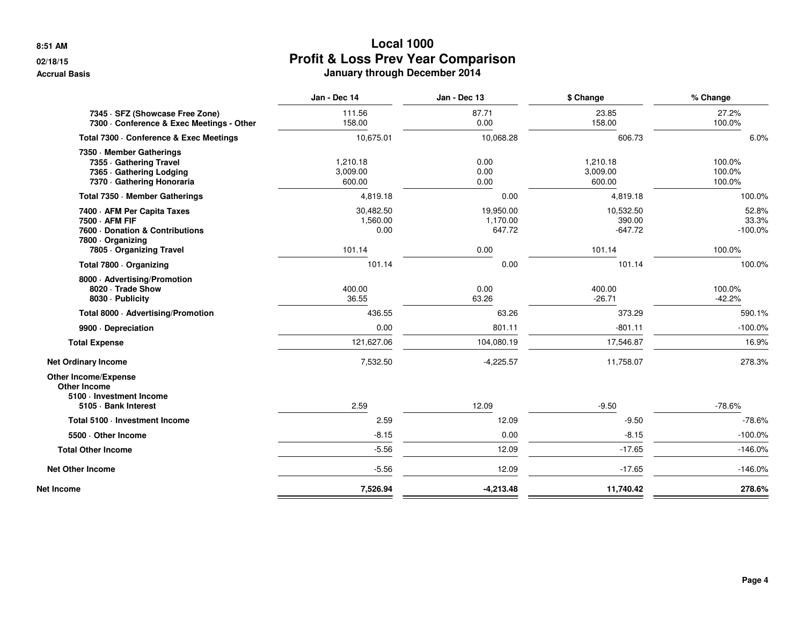# **02/18/15**

**Accrual Basis**

|                                                                                                                             | Jan - Dec 14                            | Jan - Dec 13                            | \$ Change                                  | % Change                               |
|-----------------------------------------------------------------------------------------------------------------------------|-----------------------------------------|-----------------------------------------|--------------------------------------------|----------------------------------------|
| 7345 · SFZ (Showcase Free Zone)<br>7300 · Conference & Exec Meetings - Other                                                | 111.56<br>158.00                        | 87.71<br>0.00                           | 23.85<br>158.00                            | 27.2%<br>100.0%                        |
| Total 7300 - Conference & Exec Meetings                                                                                     | 10,675.01                               | 10,068.28                               | 606.73                                     | 6.0%                                   |
| 7350 Member Gatherings<br>7355 Gathering Travel<br>7365 Gathering Lodging<br>7370 Gathering Honoraria                       | 1,210.18<br>3,009.00<br>600.00          | 0.00<br>0.00<br>0.00                    | 1,210.18<br>3,009.00<br>600.00             | 100.0%<br>100.0%<br>100.0%             |
| Total 7350 - Member Gatherings                                                                                              | 4,819.18                                | 0.00                                    | 4,819.18                                   | 100.0%                                 |
| 7400 - AFM Per Capita Taxes<br>7500 - AFM FIF<br>7600 Donation & Contributions<br>7800 Organizing<br>7805 Organizing Travel | 30,482.50<br>1,560.00<br>0.00<br>101.14 | 19,950.00<br>1,170.00<br>647.72<br>0.00 | 10,532.50<br>390.00<br>$-647.72$<br>101.14 | 52.8%<br>33.3%<br>$-100.0\%$<br>100.0% |
| Total 7800 · Organizing                                                                                                     | 101.14                                  | 0.00                                    | 101.14                                     | 100.0%                                 |
| 8000 · Advertising/Promotion<br>8020 · Trade Show<br>8030 - Publicity                                                       | 400.00<br>36.55                         | 0.00<br>63.26                           | 400.00<br>$-26.71$                         | 100.0%<br>$-42.2%$                     |
| Total 8000 · Advertising/Promotion                                                                                          | 436.55                                  | 63.26                                   | 373.29                                     | 590.1%                                 |
| 9900 Depreciation                                                                                                           | 0.00                                    | 801.11                                  | $-801.11$                                  | $-100.0%$                              |
| <b>Total Expense</b>                                                                                                        | 121,627.06                              | 104,080.19                              | 17,546.87                                  | 16.9%                                  |
| <b>Net Ordinary Income</b>                                                                                                  | 7,532.50                                | $-4,225.57$                             | 11,758.07                                  | 278.3%                                 |
| <b>Other Income/Expense</b><br><b>Other Income</b><br>5100 - Investment Income<br>5105 · Bank Interest                      | 2.59                                    | 12.09                                   | $-9.50$                                    | $-78.6%$                               |
| Total 5100 · Investment Income                                                                                              | 2.59                                    | 12.09                                   | $-9.50$                                    | $-78.6%$                               |
| 5500 Other Income                                                                                                           | $-8.15$                                 | 0.00                                    | $-8.15$                                    | $-100.0\%$                             |
| <b>Total Other Income</b>                                                                                                   | $-5.56$                                 | 12.09                                   | $-17.65$                                   | $-146.0%$                              |
| <b>Net Other Income</b>                                                                                                     | $-5.56$                                 | 12.09                                   | $-17.65$                                   | $-146.0%$                              |
| <b>Net Income</b>                                                                                                           | 7,526.94                                | $-4,213.48$                             | 11,740.42                                  | 278.6%                                 |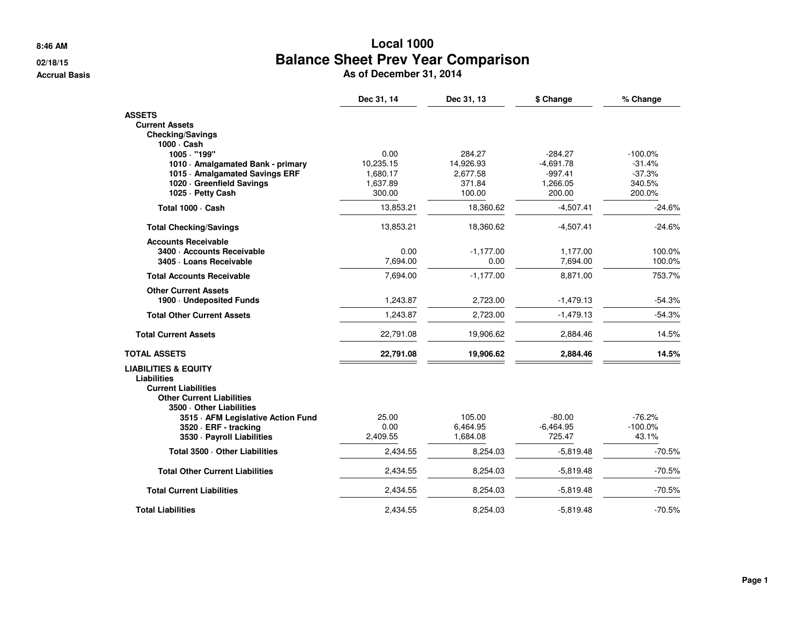**8:46 AM**

#### **02/18/15**

**Accrual Basis**

# **Local 1000 Balance Sheet Prev Year Comparison**<br> **As of December 31, 2014**<br> **As of December 31, 2014**

| Dec 31, 14 | Dec 31, 13                                                                                                  | \$ Change                                                                                                         | % Change                                                                                                                      |
|------------|-------------------------------------------------------------------------------------------------------------|-------------------------------------------------------------------------------------------------------------------|-------------------------------------------------------------------------------------------------------------------------------|
|            |                                                                                                             |                                                                                                                   |                                                                                                                               |
|            |                                                                                                             |                                                                                                                   |                                                                                                                               |
|            |                                                                                                             |                                                                                                                   |                                                                                                                               |
|            |                                                                                                             |                                                                                                                   |                                                                                                                               |
|            |                                                                                                             |                                                                                                                   | $-100.0%$                                                                                                                     |
|            |                                                                                                             |                                                                                                                   | $-31.4%$                                                                                                                      |
|            |                                                                                                             |                                                                                                                   | $-37.3%$                                                                                                                      |
|            |                                                                                                             |                                                                                                                   | 340.5%                                                                                                                        |
|            |                                                                                                             |                                                                                                                   | 200.0%                                                                                                                        |
| 13,853.21  | 18,360.62                                                                                                   | $-4.507.41$                                                                                                       | $-24.6%$                                                                                                                      |
| 13,853.21  | 18,360.62                                                                                                   | $-4,507.41$                                                                                                       | $-24.6%$                                                                                                                      |
|            |                                                                                                             |                                                                                                                   |                                                                                                                               |
|            |                                                                                                             |                                                                                                                   | 100.0%                                                                                                                        |
|            |                                                                                                             |                                                                                                                   | 100.0%                                                                                                                        |
|            |                                                                                                             |                                                                                                                   | 753.7%                                                                                                                        |
|            |                                                                                                             |                                                                                                                   |                                                                                                                               |
|            |                                                                                                             |                                                                                                                   | $-54.3%$                                                                                                                      |
|            |                                                                                                             |                                                                                                                   | $-54.3%$                                                                                                                      |
| 22,791.08  | 19,906.62                                                                                                   | 2,884.46                                                                                                          | 14.5%                                                                                                                         |
| 22,791.08  | 19,906.62                                                                                                   | 2,884.46                                                                                                          | 14.5%                                                                                                                         |
|            |                                                                                                             |                                                                                                                   |                                                                                                                               |
|            |                                                                                                             |                                                                                                                   |                                                                                                                               |
| 25.00      | 105.00                                                                                                      | $-80.00$                                                                                                          | $-76.2%$                                                                                                                      |
| 0.00       | 6,464.95                                                                                                    | $-6,464.95$                                                                                                       | $-100.0\%$                                                                                                                    |
| 2,409.55   | 1,684.08                                                                                                    | 725.47                                                                                                            | 43.1%                                                                                                                         |
| 2,434.55   | 8,254.03                                                                                                    | $-5,819.48$                                                                                                       | $-70.5%$                                                                                                                      |
| 2,434.55   | 8,254.03                                                                                                    | $-5,819.48$                                                                                                       | $-70.5%$                                                                                                                      |
| 2,434.55   | 8,254.03                                                                                                    | $-5,819.48$                                                                                                       | $-70.5%$                                                                                                                      |
| 2,434.55   | 8,254.03                                                                                                    | $-5,819.48$                                                                                                       | $-70.5%$                                                                                                                      |
|            | 0.00<br>10,235.15<br>1,680.17<br>1,637.89<br>300.00<br>0.00<br>7,694.00<br>7,694.00<br>1,243.87<br>1,243.87 | 284.27<br>14,926.93<br>2,677.58<br>371.84<br>100.00<br>$-1,177.00$<br>0.00<br>$-1,177.00$<br>2,723.00<br>2,723.00 | $-284.27$<br>$-4,691.78$<br>$-997.41$<br>1,266.05<br>200.00<br>1,177.00<br>7,694.00<br>8,871.00<br>$-1,479.13$<br>$-1,479.13$ |